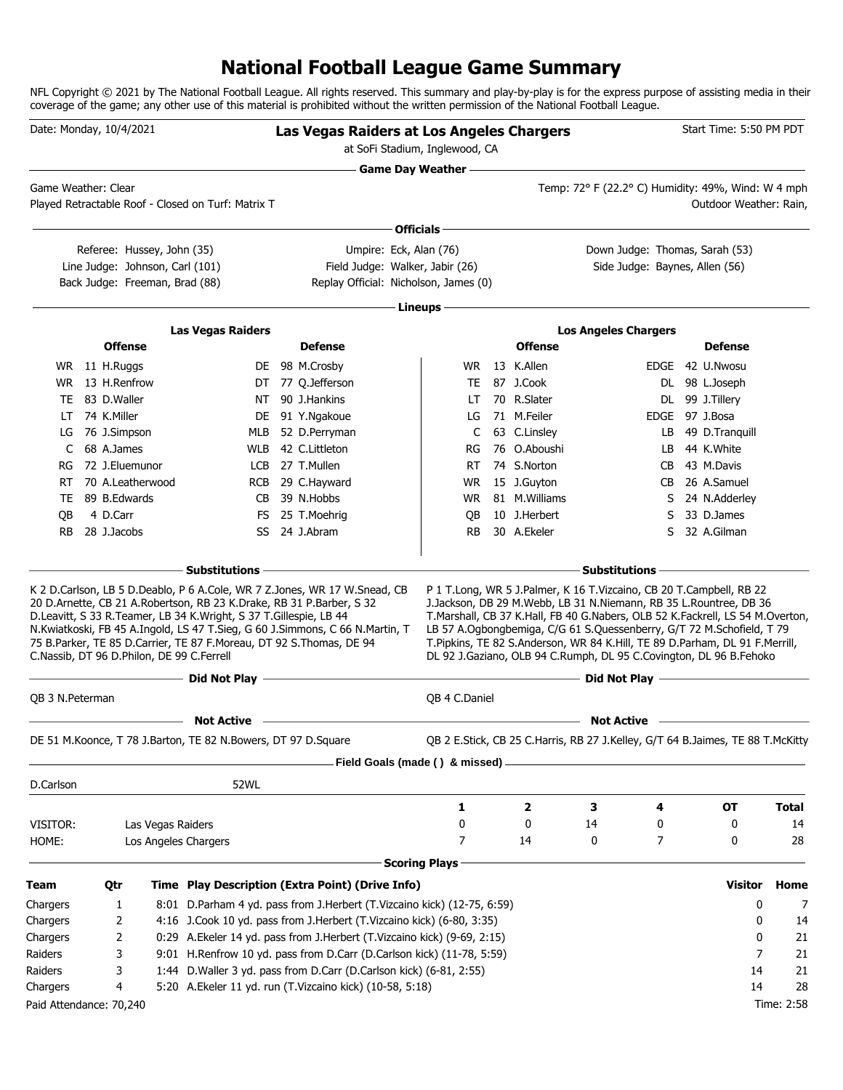### **National Football League Game Summary**

NFL Copyright © 2021 by The National Football League. All rights reserved. This summary and play-by-play is for the express purpose of assisting media in their coverage of the game; any other use of this material is prohibited without the written permission of the National Football League.

| at SoFi Stadium, Inglewood, CA<br>the control of the control of the control of the control of the control of the control of<br><b>Game Day Weather --</b><br>Temp: 72° F (22.2° C) Humidity: 49%, Wind: W 4 mph<br>Game Weather: Clear<br>Played Retractable Roof - Closed on Turf: Matrix T<br>Outdoor Weather: Rain,<br>∙ Officials –<br>Down Judge: Thomas, Sarah (53)<br>Referee: Hussey, John (35)<br>Umpire: Eck, Alan (76)<br>Line Judge: Johnson, Carl (101)<br>Field Judge: Walker, Jabir (26)<br>Side Judge: Baynes, Allen (56)<br>Back Judge: Freeman, Brad (88)<br>Replay Official: Nicholson, James (0)<br>Lineups-<br><b>Las Vegas Raiders</b><br><b>Los Angeles Chargers</b><br><b>Offense</b><br><b>Offense</b><br><b>Defense</b><br><b>Defense</b><br>WR 11 H.Ruggs<br>13 K.Allen<br>DE 98 M.Crosby<br>WR.<br>EDGE 42 U.Nwosu<br>13 H.Renfrow<br>87 J.Cook<br>DT 77 Q.Jefferson<br>DL 98 L.Joseph<br>WR<br>TE<br>NT 90 J.Hankins<br>70 R.Slater<br>83 D.Waller<br>DL 99 J.Tillery<br>TE<br>LT<br>71 M.Feiler<br>EDGE 97 J.Bosa<br>74 K.Miller<br>DE<br>91 Y.Ngakoue<br>LG<br>LT<br>49 D.Tranquill<br>76 J.Simpson<br>MLB<br>52 D.Perryman<br>C<br>63 C.Linsley<br>LG<br>LB<br>68 A.James<br>42 C.Littleton<br>76 O.Aboushi<br>44 K.White<br>C<br><b>WLB</b><br>RG<br>LB.<br>72 J.Eluemunor<br>74 S.Norton<br>43 M.Davis<br>LCB<br>27 T.Mullen<br>RT.<br>RG<br>CB.<br>70 A.Leatherwood<br>26 A.Samuel<br>29 C.Hayward<br>WR.<br>15 J.Guyton<br>RT<br>RCB<br>CB.<br>89 B.Edwards<br>39 N.Hobbs<br>81 M.Williams<br>24 N.Adderley<br>CB.<br>WR.<br>TE.<br>S<br>4 D.Carr<br>33 D.James<br>QB<br>FS 25 T.Moehrig<br>QB<br>10 J.Herbert<br>S<br>28 J.Jacobs<br>30 A.Ekeler<br>32 A.Gilman<br><b>RB</b><br>SS 24 J.Abram<br>RB.<br>S<br>- Substitutions -<br><b>Substitutions</b><br>K 2 D.Carlson, LB 5 D.Deablo, P 6 A.Cole, WR 7 Z.Jones, WR 17 W.Snead, CB<br>P 1 T.Long, WR 5 J.Palmer, K 16 T.Vizcaino, CB 20 T.Campbell, RB 22<br>20 D.Arnette, CB 21 A.Robertson, RB 23 K.Drake, RB 31 P.Barber, S 32<br>J.Jackson, DB 29 M.Webb, LB 31 N.Niemann, RB 35 L.Rountree, DB 36<br>D.Leavitt, S 33 R.Teamer, LB 34 K.Wright, S 37 T.Gillespie, LB 44<br>T.Marshall, CB 37 K.Hall, FB 40 G.Nabers, OLB 52 K.Fackrell, LS 54 M.Overton,<br>LB 57 A.Ogbongbemiga, C/G 61 S.Quessenberry, G/T 72 M.Schofield, T 79<br>N.Kwiatkoski, FB 45 A.Ingold, LS 47 T.Sieg, G 60 J.Simmons, C 66 N.Martin, T<br>75 B.Parker, TE 85 D.Carrier, TE 87 F.Moreau, DT 92 S.Thomas, DE 94<br>T.Pipkins, TE 82 S.Anderson, WR 84 K.Hill, TE 89 D.Parham, DL 91 F.Merrill,<br>C.Nassib, DT 96 D.Philon, DE 99 C.Ferrell<br>DL 92 J.Gaziano, OLB 94 C.Rumph, DL 95 C.Covington, DL 96 B.Fehoko<br>the control of the control of the control of the control of the control of the<br>Did Not Play <u>- and the second of the second of the second of the second of the second of the second of the second of the second of the second of the second of the second of the second of the second of the second of the se</u><br>Did Not Play –<br>QB 3 N.Peterman<br>QB 4 C.Daniel<br><b>Not Active</b><br><b>Not Active</b><br>DE 51 M.Koonce, T 78 J.Barton, TE 82 N.Bowers, DT 97 D.Square<br>QB 2 E.Stick, CB 25 C.Harris, RB 27 J.Kelley, G/T 64 B.Jaimes, TE 88 T.McKitty<br>Field Goals (made () & missed)<br>D.Carlson<br>52WL<br>3<br>1<br>2<br>4<br>ОT<br><b>Total</b><br>0<br>0<br>14<br>0<br>0<br>14<br>VISITOR:<br>Las Vegas Raiders<br>7<br>7<br>0<br>28<br>14<br>0<br>HOME:<br>Los Angeles Chargers<br><b>Scoring Plays</b><br>Time Play Description (Extra Point) (Drive Info)<br><b>Visitor</b><br>Team<br>Qtr<br>Home<br>Chargers<br>8:01 D.Parham 4 yd. pass from J.Herbert (T.Vizcaino kick) (12-75, 6:59)<br>0<br>1<br>7<br>4:16 J.Cook 10 yd. pass from J.Herbert (T.Vizcaino kick) (6-80, 3:35)<br>Chargers<br>2<br>0<br>14<br>0:29 A.Ekeler 14 yd. pass from J.Herbert (T.Vizcaino kick) (9-69, 2:15)<br>Chargers<br>2<br>21<br>0<br>Raiders<br>3<br>9:01 H.Renfrow 10 yd. pass from D.Carr (D.Carlson kick) (11-78, 5:59)<br>7<br>21<br>1:44 D. Waller 3 yd. pass from D. Carr (D. Carlson kick) (6-81, 2:55)<br>Raiders<br>3<br>14<br>21<br>14<br>28<br>Chargers<br>5:20 A. Ekeler 11 yd. run (T. Vizcaino kick) (10-58, 5:18)<br>4<br>Paid Attendance: 70,240<br>Time: 2:58 | Date: Monday, 10/4/2021 |  |  |  |  | Las Vegas Raiders at Los Angeles Chargers |  |  | Start Time: 5:50 PM PDT |  |
|------------------------------------------------------------------------------------------------------------------------------------------------------------------------------------------------------------------------------------------------------------------------------------------------------------------------------------------------------------------------------------------------------------------------------------------------------------------------------------------------------------------------------------------------------------------------------------------------------------------------------------------------------------------------------------------------------------------------------------------------------------------------------------------------------------------------------------------------------------------------------------------------------------------------------------------------------------------------------------------------------------------------------------------------------------------------------------------------------------------------------------------------------------------------------------------------------------------------------------------------------------------------------------------------------------------------------------------------------------------------------------------------------------------------------------------------------------------------------------------------------------------------------------------------------------------------------------------------------------------------------------------------------------------------------------------------------------------------------------------------------------------------------------------------------------------------------------------------------------------------------------------------------------------------------------------------------------------------------------------------------------------------------------------------------------------------------------------------------------------------------------------------------------------------------------------------------------------------------------------------------------------------------------------------------------------------------------------------------------------------------------------------------------------------------------------------------------------------------------------------------------------------------------------------------------------------------------------------------------------------------------------------------------------------------------------------------------------------------------------------------------------------------------------------------------------------------------------------------------------------------------------------------------------------------------------------------------------------------------------------------------------------------------------------------------------------------------------------------------------------------------------------------------------------------------------------------------------------------------------------------------------------------------------------------------------------------------------------------------------------------------------------------------------------------------------------------------------------------------------------------------------------------------------------------------------------------------------------------------------------------------------------------------------------------------------------------------------------------------------------------------------------------------------------------------------------------------------------------------------------------------------------------------------------------------------------------------------------------------------------------------------------------------------------------------------------------------------------------------------------------------------------------------------------------------------------------------------------------------------------------------------------------------------|-------------------------|--|--|--|--|-------------------------------------------|--|--|-------------------------|--|
|                                                                                                                                                                                                                                                                                                                                                                                                                                                                                                                                                                                                                                                                                                                                                                                                                                                                                                                                                                                                                                                                                                                                                                                                                                                                                                                                                                                                                                                                                                                                                                                                                                                                                                                                                                                                                                                                                                                                                                                                                                                                                                                                                                                                                                                                                                                                                                                                                                                                                                                                                                                                                                                                                                                                                                                                                                                                                                                                                                                                                                                                                                                                                                                                                                                                                                                                                                                                                                                                                                                                                                                                                                                                                                                                                                                                                                                                                                                                                                                                                                                                                                                                                                                                                                                                                          |                         |  |  |  |  |                                           |  |  |                         |  |
|                                                                                                                                                                                                                                                                                                                                                                                                                                                                                                                                                                                                                                                                                                                                                                                                                                                                                                                                                                                                                                                                                                                                                                                                                                                                                                                                                                                                                                                                                                                                                                                                                                                                                                                                                                                                                                                                                                                                                                                                                                                                                                                                                                                                                                                                                                                                                                                                                                                                                                                                                                                                                                                                                                                                                                                                                                                                                                                                                                                                                                                                                                                                                                                                                                                                                                                                                                                                                                                                                                                                                                                                                                                                                                                                                                                                                                                                                                                                                                                                                                                                                                                                                                                                                                                                                          |                         |  |  |  |  |                                           |  |  |                         |  |
|                                                                                                                                                                                                                                                                                                                                                                                                                                                                                                                                                                                                                                                                                                                                                                                                                                                                                                                                                                                                                                                                                                                                                                                                                                                                                                                                                                                                                                                                                                                                                                                                                                                                                                                                                                                                                                                                                                                                                                                                                                                                                                                                                                                                                                                                                                                                                                                                                                                                                                                                                                                                                                                                                                                                                                                                                                                                                                                                                                                                                                                                                                                                                                                                                                                                                                                                                                                                                                                                                                                                                                                                                                                                                                                                                                                                                                                                                                                                                                                                                                                                                                                                                                                                                                                                                          |                         |  |  |  |  |                                           |  |  |                         |  |
|                                                                                                                                                                                                                                                                                                                                                                                                                                                                                                                                                                                                                                                                                                                                                                                                                                                                                                                                                                                                                                                                                                                                                                                                                                                                                                                                                                                                                                                                                                                                                                                                                                                                                                                                                                                                                                                                                                                                                                                                                                                                                                                                                                                                                                                                                                                                                                                                                                                                                                                                                                                                                                                                                                                                                                                                                                                                                                                                                                                                                                                                                                                                                                                                                                                                                                                                                                                                                                                                                                                                                                                                                                                                                                                                                                                                                                                                                                                                                                                                                                                                                                                                                                                                                                                                                          |                         |  |  |  |  |                                           |  |  |                         |  |
|                                                                                                                                                                                                                                                                                                                                                                                                                                                                                                                                                                                                                                                                                                                                                                                                                                                                                                                                                                                                                                                                                                                                                                                                                                                                                                                                                                                                                                                                                                                                                                                                                                                                                                                                                                                                                                                                                                                                                                                                                                                                                                                                                                                                                                                                                                                                                                                                                                                                                                                                                                                                                                                                                                                                                                                                                                                                                                                                                                                                                                                                                                                                                                                                                                                                                                                                                                                                                                                                                                                                                                                                                                                                                                                                                                                                                                                                                                                                                                                                                                                                                                                                                                                                                                                                                          |                         |  |  |  |  |                                           |  |  |                         |  |
|                                                                                                                                                                                                                                                                                                                                                                                                                                                                                                                                                                                                                                                                                                                                                                                                                                                                                                                                                                                                                                                                                                                                                                                                                                                                                                                                                                                                                                                                                                                                                                                                                                                                                                                                                                                                                                                                                                                                                                                                                                                                                                                                                                                                                                                                                                                                                                                                                                                                                                                                                                                                                                                                                                                                                                                                                                                                                                                                                                                                                                                                                                                                                                                                                                                                                                                                                                                                                                                                                                                                                                                                                                                                                                                                                                                                                                                                                                                                                                                                                                                                                                                                                                                                                                                                                          |                         |  |  |  |  |                                           |  |  |                         |  |
|                                                                                                                                                                                                                                                                                                                                                                                                                                                                                                                                                                                                                                                                                                                                                                                                                                                                                                                                                                                                                                                                                                                                                                                                                                                                                                                                                                                                                                                                                                                                                                                                                                                                                                                                                                                                                                                                                                                                                                                                                                                                                                                                                                                                                                                                                                                                                                                                                                                                                                                                                                                                                                                                                                                                                                                                                                                                                                                                                                                                                                                                                                                                                                                                                                                                                                                                                                                                                                                                                                                                                                                                                                                                                                                                                                                                                                                                                                                                                                                                                                                                                                                                                                                                                                                                                          |                         |  |  |  |  |                                           |  |  |                         |  |
|                                                                                                                                                                                                                                                                                                                                                                                                                                                                                                                                                                                                                                                                                                                                                                                                                                                                                                                                                                                                                                                                                                                                                                                                                                                                                                                                                                                                                                                                                                                                                                                                                                                                                                                                                                                                                                                                                                                                                                                                                                                                                                                                                                                                                                                                                                                                                                                                                                                                                                                                                                                                                                                                                                                                                                                                                                                                                                                                                                                                                                                                                                                                                                                                                                                                                                                                                                                                                                                                                                                                                                                                                                                                                                                                                                                                                                                                                                                                                                                                                                                                                                                                                                                                                                                                                          |                         |  |  |  |  |                                           |  |  |                         |  |
|                                                                                                                                                                                                                                                                                                                                                                                                                                                                                                                                                                                                                                                                                                                                                                                                                                                                                                                                                                                                                                                                                                                                                                                                                                                                                                                                                                                                                                                                                                                                                                                                                                                                                                                                                                                                                                                                                                                                                                                                                                                                                                                                                                                                                                                                                                                                                                                                                                                                                                                                                                                                                                                                                                                                                                                                                                                                                                                                                                                                                                                                                                                                                                                                                                                                                                                                                                                                                                                                                                                                                                                                                                                                                                                                                                                                                                                                                                                                                                                                                                                                                                                                                                                                                                                                                          |                         |  |  |  |  |                                           |  |  |                         |  |
|                                                                                                                                                                                                                                                                                                                                                                                                                                                                                                                                                                                                                                                                                                                                                                                                                                                                                                                                                                                                                                                                                                                                                                                                                                                                                                                                                                                                                                                                                                                                                                                                                                                                                                                                                                                                                                                                                                                                                                                                                                                                                                                                                                                                                                                                                                                                                                                                                                                                                                                                                                                                                                                                                                                                                                                                                                                                                                                                                                                                                                                                                                                                                                                                                                                                                                                                                                                                                                                                                                                                                                                                                                                                                                                                                                                                                                                                                                                                                                                                                                                                                                                                                                                                                                                                                          |                         |  |  |  |  |                                           |  |  |                         |  |
|                                                                                                                                                                                                                                                                                                                                                                                                                                                                                                                                                                                                                                                                                                                                                                                                                                                                                                                                                                                                                                                                                                                                                                                                                                                                                                                                                                                                                                                                                                                                                                                                                                                                                                                                                                                                                                                                                                                                                                                                                                                                                                                                                                                                                                                                                                                                                                                                                                                                                                                                                                                                                                                                                                                                                                                                                                                                                                                                                                                                                                                                                                                                                                                                                                                                                                                                                                                                                                                                                                                                                                                                                                                                                                                                                                                                                                                                                                                                                                                                                                                                                                                                                                                                                                                                                          |                         |  |  |  |  |                                           |  |  |                         |  |
|                                                                                                                                                                                                                                                                                                                                                                                                                                                                                                                                                                                                                                                                                                                                                                                                                                                                                                                                                                                                                                                                                                                                                                                                                                                                                                                                                                                                                                                                                                                                                                                                                                                                                                                                                                                                                                                                                                                                                                                                                                                                                                                                                                                                                                                                                                                                                                                                                                                                                                                                                                                                                                                                                                                                                                                                                                                                                                                                                                                                                                                                                                                                                                                                                                                                                                                                                                                                                                                                                                                                                                                                                                                                                                                                                                                                                                                                                                                                                                                                                                                                                                                                                                                                                                                                                          |                         |  |  |  |  |                                           |  |  |                         |  |
|                                                                                                                                                                                                                                                                                                                                                                                                                                                                                                                                                                                                                                                                                                                                                                                                                                                                                                                                                                                                                                                                                                                                                                                                                                                                                                                                                                                                                                                                                                                                                                                                                                                                                                                                                                                                                                                                                                                                                                                                                                                                                                                                                                                                                                                                                                                                                                                                                                                                                                                                                                                                                                                                                                                                                                                                                                                                                                                                                                                                                                                                                                                                                                                                                                                                                                                                                                                                                                                                                                                                                                                                                                                                                                                                                                                                                                                                                                                                                                                                                                                                                                                                                                                                                                                                                          |                         |  |  |  |  |                                           |  |  |                         |  |
|                                                                                                                                                                                                                                                                                                                                                                                                                                                                                                                                                                                                                                                                                                                                                                                                                                                                                                                                                                                                                                                                                                                                                                                                                                                                                                                                                                                                                                                                                                                                                                                                                                                                                                                                                                                                                                                                                                                                                                                                                                                                                                                                                                                                                                                                                                                                                                                                                                                                                                                                                                                                                                                                                                                                                                                                                                                                                                                                                                                                                                                                                                                                                                                                                                                                                                                                                                                                                                                                                                                                                                                                                                                                                                                                                                                                                                                                                                                                                                                                                                                                                                                                                                                                                                                                                          |                         |  |  |  |  |                                           |  |  |                         |  |
|                                                                                                                                                                                                                                                                                                                                                                                                                                                                                                                                                                                                                                                                                                                                                                                                                                                                                                                                                                                                                                                                                                                                                                                                                                                                                                                                                                                                                                                                                                                                                                                                                                                                                                                                                                                                                                                                                                                                                                                                                                                                                                                                                                                                                                                                                                                                                                                                                                                                                                                                                                                                                                                                                                                                                                                                                                                                                                                                                                                                                                                                                                                                                                                                                                                                                                                                                                                                                                                                                                                                                                                                                                                                                                                                                                                                                                                                                                                                                                                                                                                                                                                                                                                                                                                                                          |                         |  |  |  |  |                                           |  |  |                         |  |
|                                                                                                                                                                                                                                                                                                                                                                                                                                                                                                                                                                                                                                                                                                                                                                                                                                                                                                                                                                                                                                                                                                                                                                                                                                                                                                                                                                                                                                                                                                                                                                                                                                                                                                                                                                                                                                                                                                                                                                                                                                                                                                                                                                                                                                                                                                                                                                                                                                                                                                                                                                                                                                                                                                                                                                                                                                                                                                                                                                                                                                                                                                                                                                                                                                                                                                                                                                                                                                                                                                                                                                                                                                                                                                                                                                                                                                                                                                                                                                                                                                                                                                                                                                                                                                                                                          |                         |  |  |  |  |                                           |  |  |                         |  |
|                                                                                                                                                                                                                                                                                                                                                                                                                                                                                                                                                                                                                                                                                                                                                                                                                                                                                                                                                                                                                                                                                                                                                                                                                                                                                                                                                                                                                                                                                                                                                                                                                                                                                                                                                                                                                                                                                                                                                                                                                                                                                                                                                                                                                                                                                                                                                                                                                                                                                                                                                                                                                                                                                                                                                                                                                                                                                                                                                                                                                                                                                                                                                                                                                                                                                                                                                                                                                                                                                                                                                                                                                                                                                                                                                                                                                                                                                                                                                                                                                                                                                                                                                                                                                                                                                          |                         |  |  |  |  |                                           |  |  |                         |  |
|                                                                                                                                                                                                                                                                                                                                                                                                                                                                                                                                                                                                                                                                                                                                                                                                                                                                                                                                                                                                                                                                                                                                                                                                                                                                                                                                                                                                                                                                                                                                                                                                                                                                                                                                                                                                                                                                                                                                                                                                                                                                                                                                                                                                                                                                                                                                                                                                                                                                                                                                                                                                                                                                                                                                                                                                                                                                                                                                                                                                                                                                                                                                                                                                                                                                                                                                                                                                                                                                                                                                                                                                                                                                                                                                                                                                                                                                                                                                                                                                                                                                                                                                                                                                                                                                                          |                         |  |  |  |  |                                           |  |  |                         |  |
|                                                                                                                                                                                                                                                                                                                                                                                                                                                                                                                                                                                                                                                                                                                                                                                                                                                                                                                                                                                                                                                                                                                                                                                                                                                                                                                                                                                                                                                                                                                                                                                                                                                                                                                                                                                                                                                                                                                                                                                                                                                                                                                                                                                                                                                                                                                                                                                                                                                                                                                                                                                                                                                                                                                                                                                                                                                                                                                                                                                                                                                                                                                                                                                                                                                                                                                                                                                                                                                                                                                                                                                                                                                                                                                                                                                                                                                                                                                                                                                                                                                                                                                                                                                                                                                                                          |                         |  |  |  |  |                                           |  |  |                         |  |
|                                                                                                                                                                                                                                                                                                                                                                                                                                                                                                                                                                                                                                                                                                                                                                                                                                                                                                                                                                                                                                                                                                                                                                                                                                                                                                                                                                                                                                                                                                                                                                                                                                                                                                                                                                                                                                                                                                                                                                                                                                                                                                                                                                                                                                                                                                                                                                                                                                                                                                                                                                                                                                                                                                                                                                                                                                                                                                                                                                                                                                                                                                                                                                                                                                                                                                                                                                                                                                                                                                                                                                                                                                                                                                                                                                                                                                                                                                                                                                                                                                                                                                                                                                                                                                                                                          |                         |  |  |  |  |                                           |  |  |                         |  |
|                                                                                                                                                                                                                                                                                                                                                                                                                                                                                                                                                                                                                                                                                                                                                                                                                                                                                                                                                                                                                                                                                                                                                                                                                                                                                                                                                                                                                                                                                                                                                                                                                                                                                                                                                                                                                                                                                                                                                                                                                                                                                                                                                                                                                                                                                                                                                                                                                                                                                                                                                                                                                                                                                                                                                                                                                                                                                                                                                                                                                                                                                                                                                                                                                                                                                                                                                                                                                                                                                                                                                                                                                                                                                                                                                                                                                                                                                                                                                                                                                                                                                                                                                                                                                                                                                          |                         |  |  |  |  |                                           |  |  |                         |  |
|                                                                                                                                                                                                                                                                                                                                                                                                                                                                                                                                                                                                                                                                                                                                                                                                                                                                                                                                                                                                                                                                                                                                                                                                                                                                                                                                                                                                                                                                                                                                                                                                                                                                                                                                                                                                                                                                                                                                                                                                                                                                                                                                                                                                                                                                                                                                                                                                                                                                                                                                                                                                                                                                                                                                                                                                                                                                                                                                                                                                                                                                                                                                                                                                                                                                                                                                                                                                                                                                                                                                                                                                                                                                                                                                                                                                                                                                                                                                                                                                                                                                                                                                                                                                                                                                                          |                         |  |  |  |  |                                           |  |  |                         |  |
|                                                                                                                                                                                                                                                                                                                                                                                                                                                                                                                                                                                                                                                                                                                                                                                                                                                                                                                                                                                                                                                                                                                                                                                                                                                                                                                                                                                                                                                                                                                                                                                                                                                                                                                                                                                                                                                                                                                                                                                                                                                                                                                                                                                                                                                                                                                                                                                                                                                                                                                                                                                                                                                                                                                                                                                                                                                                                                                                                                                                                                                                                                                                                                                                                                                                                                                                                                                                                                                                                                                                                                                                                                                                                                                                                                                                                                                                                                                                                                                                                                                                                                                                                                                                                                                                                          |                         |  |  |  |  |                                           |  |  |                         |  |
|                                                                                                                                                                                                                                                                                                                                                                                                                                                                                                                                                                                                                                                                                                                                                                                                                                                                                                                                                                                                                                                                                                                                                                                                                                                                                                                                                                                                                                                                                                                                                                                                                                                                                                                                                                                                                                                                                                                                                                                                                                                                                                                                                                                                                                                                                                                                                                                                                                                                                                                                                                                                                                                                                                                                                                                                                                                                                                                                                                                                                                                                                                                                                                                                                                                                                                                                                                                                                                                                                                                                                                                                                                                                                                                                                                                                                                                                                                                                                                                                                                                                                                                                                                                                                                                                                          |                         |  |  |  |  |                                           |  |  |                         |  |
|                                                                                                                                                                                                                                                                                                                                                                                                                                                                                                                                                                                                                                                                                                                                                                                                                                                                                                                                                                                                                                                                                                                                                                                                                                                                                                                                                                                                                                                                                                                                                                                                                                                                                                                                                                                                                                                                                                                                                                                                                                                                                                                                                                                                                                                                                                                                                                                                                                                                                                                                                                                                                                                                                                                                                                                                                                                                                                                                                                                                                                                                                                                                                                                                                                                                                                                                                                                                                                                                                                                                                                                                                                                                                                                                                                                                                                                                                                                                                                                                                                                                                                                                                                                                                                                                                          |                         |  |  |  |  |                                           |  |  |                         |  |
|                                                                                                                                                                                                                                                                                                                                                                                                                                                                                                                                                                                                                                                                                                                                                                                                                                                                                                                                                                                                                                                                                                                                                                                                                                                                                                                                                                                                                                                                                                                                                                                                                                                                                                                                                                                                                                                                                                                                                                                                                                                                                                                                                                                                                                                                                                                                                                                                                                                                                                                                                                                                                                                                                                                                                                                                                                                                                                                                                                                                                                                                                                                                                                                                                                                                                                                                                                                                                                                                                                                                                                                                                                                                                                                                                                                                                                                                                                                                                                                                                                                                                                                                                                                                                                                                                          |                         |  |  |  |  |                                           |  |  |                         |  |
|                                                                                                                                                                                                                                                                                                                                                                                                                                                                                                                                                                                                                                                                                                                                                                                                                                                                                                                                                                                                                                                                                                                                                                                                                                                                                                                                                                                                                                                                                                                                                                                                                                                                                                                                                                                                                                                                                                                                                                                                                                                                                                                                                                                                                                                                                                                                                                                                                                                                                                                                                                                                                                                                                                                                                                                                                                                                                                                                                                                                                                                                                                                                                                                                                                                                                                                                                                                                                                                                                                                                                                                                                                                                                                                                                                                                                                                                                                                                                                                                                                                                                                                                                                                                                                                                                          |                         |  |  |  |  |                                           |  |  |                         |  |
|                                                                                                                                                                                                                                                                                                                                                                                                                                                                                                                                                                                                                                                                                                                                                                                                                                                                                                                                                                                                                                                                                                                                                                                                                                                                                                                                                                                                                                                                                                                                                                                                                                                                                                                                                                                                                                                                                                                                                                                                                                                                                                                                                                                                                                                                                                                                                                                                                                                                                                                                                                                                                                                                                                                                                                                                                                                                                                                                                                                                                                                                                                                                                                                                                                                                                                                                                                                                                                                                                                                                                                                                                                                                                                                                                                                                                                                                                                                                                                                                                                                                                                                                                                                                                                                                                          |                         |  |  |  |  |                                           |  |  |                         |  |
|                                                                                                                                                                                                                                                                                                                                                                                                                                                                                                                                                                                                                                                                                                                                                                                                                                                                                                                                                                                                                                                                                                                                                                                                                                                                                                                                                                                                                                                                                                                                                                                                                                                                                                                                                                                                                                                                                                                                                                                                                                                                                                                                                                                                                                                                                                                                                                                                                                                                                                                                                                                                                                                                                                                                                                                                                                                                                                                                                                                                                                                                                                                                                                                                                                                                                                                                                                                                                                                                                                                                                                                                                                                                                                                                                                                                                                                                                                                                                                                                                                                                                                                                                                                                                                                                                          |                         |  |  |  |  |                                           |  |  |                         |  |
|                                                                                                                                                                                                                                                                                                                                                                                                                                                                                                                                                                                                                                                                                                                                                                                                                                                                                                                                                                                                                                                                                                                                                                                                                                                                                                                                                                                                                                                                                                                                                                                                                                                                                                                                                                                                                                                                                                                                                                                                                                                                                                                                                                                                                                                                                                                                                                                                                                                                                                                                                                                                                                                                                                                                                                                                                                                                                                                                                                                                                                                                                                                                                                                                                                                                                                                                                                                                                                                                                                                                                                                                                                                                                                                                                                                                                                                                                                                                                                                                                                                                                                                                                                                                                                                                                          |                         |  |  |  |  |                                           |  |  |                         |  |
|                                                                                                                                                                                                                                                                                                                                                                                                                                                                                                                                                                                                                                                                                                                                                                                                                                                                                                                                                                                                                                                                                                                                                                                                                                                                                                                                                                                                                                                                                                                                                                                                                                                                                                                                                                                                                                                                                                                                                                                                                                                                                                                                                                                                                                                                                                                                                                                                                                                                                                                                                                                                                                                                                                                                                                                                                                                                                                                                                                                                                                                                                                                                                                                                                                                                                                                                                                                                                                                                                                                                                                                                                                                                                                                                                                                                                                                                                                                                                                                                                                                                                                                                                                                                                                                                                          |                         |  |  |  |  |                                           |  |  |                         |  |
|                                                                                                                                                                                                                                                                                                                                                                                                                                                                                                                                                                                                                                                                                                                                                                                                                                                                                                                                                                                                                                                                                                                                                                                                                                                                                                                                                                                                                                                                                                                                                                                                                                                                                                                                                                                                                                                                                                                                                                                                                                                                                                                                                                                                                                                                                                                                                                                                                                                                                                                                                                                                                                                                                                                                                                                                                                                                                                                                                                                                                                                                                                                                                                                                                                                                                                                                                                                                                                                                                                                                                                                                                                                                                                                                                                                                                                                                                                                                                                                                                                                                                                                                                                                                                                                                                          |                         |  |  |  |  |                                           |  |  |                         |  |
|                                                                                                                                                                                                                                                                                                                                                                                                                                                                                                                                                                                                                                                                                                                                                                                                                                                                                                                                                                                                                                                                                                                                                                                                                                                                                                                                                                                                                                                                                                                                                                                                                                                                                                                                                                                                                                                                                                                                                                                                                                                                                                                                                                                                                                                                                                                                                                                                                                                                                                                                                                                                                                                                                                                                                                                                                                                                                                                                                                                                                                                                                                                                                                                                                                                                                                                                                                                                                                                                                                                                                                                                                                                                                                                                                                                                                                                                                                                                                                                                                                                                                                                                                                                                                                                                                          |                         |  |  |  |  |                                           |  |  |                         |  |
|                                                                                                                                                                                                                                                                                                                                                                                                                                                                                                                                                                                                                                                                                                                                                                                                                                                                                                                                                                                                                                                                                                                                                                                                                                                                                                                                                                                                                                                                                                                                                                                                                                                                                                                                                                                                                                                                                                                                                                                                                                                                                                                                                                                                                                                                                                                                                                                                                                                                                                                                                                                                                                                                                                                                                                                                                                                                                                                                                                                                                                                                                                                                                                                                                                                                                                                                                                                                                                                                                                                                                                                                                                                                                                                                                                                                                                                                                                                                                                                                                                                                                                                                                                                                                                                                                          |                         |  |  |  |  |                                           |  |  |                         |  |
|                                                                                                                                                                                                                                                                                                                                                                                                                                                                                                                                                                                                                                                                                                                                                                                                                                                                                                                                                                                                                                                                                                                                                                                                                                                                                                                                                                                                                                                                                                                                                                                                                                                                                                                                                                                                                                                                                                                                                                                                                                                                                                                                                                                                                                                                                                                                                                                                                                                                                                                                                                                                                                                                                                                                                                                                                                                                                                                                                                                                                                                                                                                                                                                                                                                                                                                                                                                                                                                                                                                                                                                                                                                                                                                                                                                                                                                                                                                                                                                                                                                                                                                                                                                                                                                                                          |                         |  |  |  |  |                                           |  |  |                         |  |
|                                                                                                                                                                                                                                                                                                                                                                                                                                                                                                                                                                                                                                                                                                                                                                                                                                                                                                                                                                                                                                                                                                                                                                                                                                                                                                                                                                                                                                                                                                                                                                                                                                                                                                                                                                                                                                                                                                                                                                                                                                                                                                                                                                                                                                                                                                                                                                                                                                                                                                                                                                                                                                                                                                                                                                                                                                                                                                                                                                                                                                                                                                                                                                                                                                                                                                                                                                                                                                                                                                                                                                                                                                                                                                                                                                                                                                                                                                                                                                                                                                                                                                                                                                                                                                                                                          |                         |  |  |  |  |                                           |  |  |                         |  |
|                                                                                                                                                                                                                                                                                                                                                                                                                                                                                                                                                                                                                                                                                                                                                                                                                                                                                                                                                                                                                                                                                                                                                                                                                                                                                                                                                                                                                                                                                                                                                                                                                                                                                                                                                                                                                                                                                                                                                                                                                                                                                                                                                                                                                                                                                                                                                                                                                                                                                                                                                                                                                                                                                                                                                                                                                                                                                                                                                                                                                                                                                                                                                                                                                                                                                                                                                                                                                                                                                                                                                                                                                                                                                                                                                                                                                                                                                                                                                                                                                                                                                                                                                                                                                                                                                          |                         |  |  |  |  |                                           |  |  |                         |  |
|                                                                                                                                                                                                                                                                                                                                                                                                                                                                                                                                                                                                                                                                                                                                                                                                                                                                                                                                                                                                                                                                                                                                                                                                                                                                                                                                                                                                                                                                                                                                                                                                                                                                                                                                                                                                                                                                                                                                                                                                                                                                                                                                                                                                                                                                                                                                                                                                                                                                                                                                                                                                                                                                                                                                                                                                                                                                                                                                                                                                                                                                                                                                                                                                                                                                                                                                                                                                                                                                                                                                                                                                                                                                                                                                                                                                                                                                                                                                                                                                                                                                                                                                                                                                                                                                                          |                         |  |  |  |  |                                           |  |  |                         |  |
|                                                                                                                                                                                                                                                                                                                                                                                                                                                                                                                                                                                                                                                                                                                                                                                                                                                                                                                                                                                                                                                                                                                                                                                                                                                                                                                                                                                                                                                                                                                                                                                                                                                                                                                                                                                                                                                                                                                                                                                                                                                                                                                                                                                                                                                                                                                                                                                                                                                                                                                                                                                                                                                                                                                                                                                                                                                                                                                                                                                                                                                                                                                                                                                                                                                                                                                                                                                                                                                                                                                                                                                                                                                                                                                                                                                                                                                                                                                                                                                                                                                                                                                                                                                                                                                                                          |                         |  |  |  |  |                                           |  |  |                         |  |
|                                                                                                                                                                                                                                                                                                                                                                                                                                                                                                                                                                                                                                                                                                                                                                                                                                                                                                                                                                                                                                                                                                                                                                                                                                                                                                                                                                                                                                                                                                                                                                                                                                                                                                                                                                                                                                                                                                                                                                                                                                                                                                                                                                                                                                                                                                                                                                                                                                                                                                                                                                                                                                                                                                                                                                                                                                                                                                                                                                                                                                                                                                                                                                                                                                                                                                                                                                                                                                                                                                                                                                                                                                                                                                                                                                                                                                                                                                                                                                                                                                                                                                                                                                                                                                                                                          |                         |  |  |  |  |                                           |  |  |                         |  |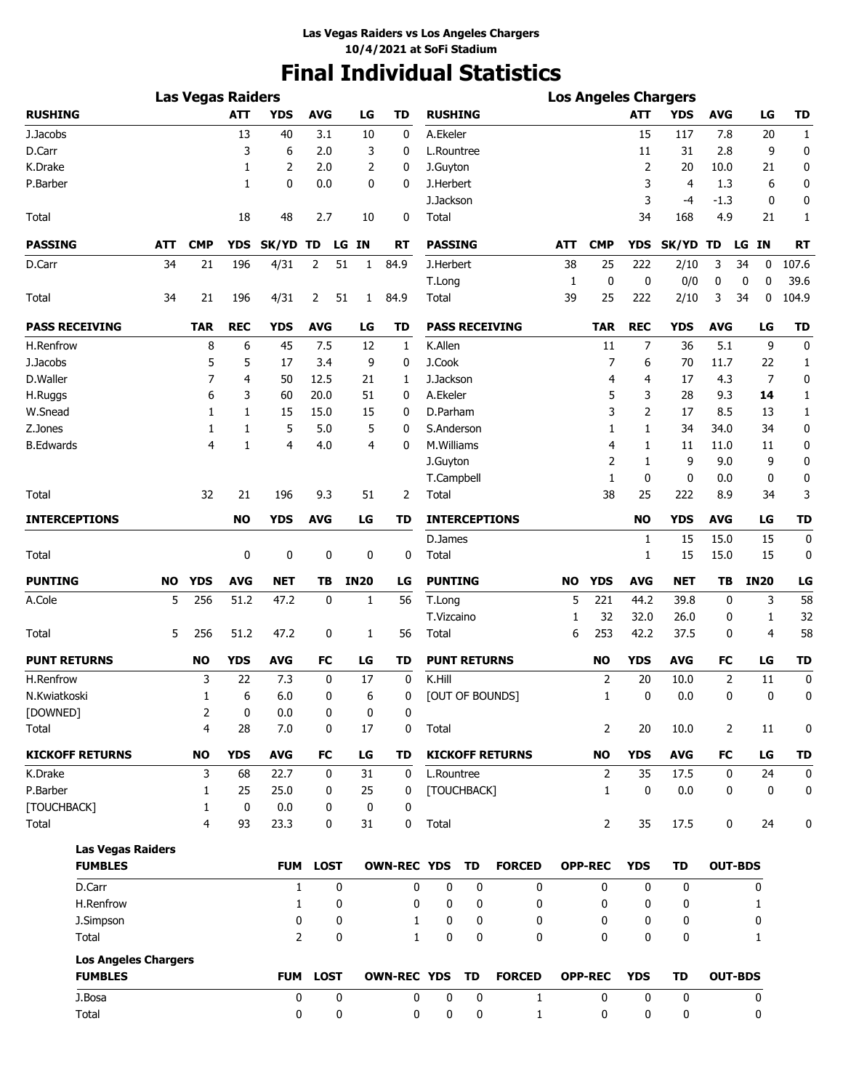# **Final Individual Statistics**

|                             |           | <b>Las Vegas Raiders</b> |             |                |             |    |                |                    |                     |           |                        |              |                |              | <b>Los Angeles Chargers</b> |            |                |              |
|-----------------------------|-----------|--------------------------|-------------|----------------|-------------|----|----------------|--------------------|---------------------|-----------|------------------------|--------------|----------------|--------------|-----------------------------|------------|----------------|--------------|
| <b>RUSHING</b>              |           |                          | <b>ATT</b>  | <b>YDS</b>     | <b>AVG</b>  |    | LG             | <b>TD</b>          | <b>RUSHING</b>      |           |                        |              |                | <b>ATT</b>   | <b>YDS</b>                  | <b>AVG</b> | LG             | <b>TD</b>    |
| J.Jacobs                    |           |                          | 13          | 40             | 3.1         |    | 10             | 0                  | A.Ekeler            |           |                        |              |                | 15           | 117                         | 7.8        | 20             | $\mathbf{1}$ |
| D.Carr                      |           |                          | 3           | 6              | 2.0         |    | 3              | 0                  | L.Rountree          |           |                        |              |                | 11           | 31                          | 2.8        | 9              | 0            |
| K.Drake                     |           |                          | 1           | 2              | 2.0         |    | 2              | 0                  | J.Guyton            |           |                        |              |                | 2            | 20                          | 10.0       | 21             | 0            |
| P.Barber                    |           |                          | 1           | 0              | 0.0         |    | 0              | 0                  | J.Herbert           |           |                        |              |                | 3            | $\overline{4}$              | 1.3        | 6              | 0            |
|                             |           |                          |             |                |             |    |                |                    | J.Jackson           |           |                        |              |                | 3            | -4                          | -1.3       | 0              | 0            |
| Total                       |           |                          | 18          | 48             | 2.7         |    | 10             | 0                  | Total               |           |                        |              |                | 34           | 168                         | 4.9        | 21             | 1            |
| <b>PASSING</b>              | ATT       | <b>CMP</b>               | <b>YDS</b>  | SK/YD TD       |             |    | LG IN          | RT                 | <b>PASSING</b>      |           |                        | ATT          | <b>CMP</b>     | <b>YDS</b>   | <b>SK/YD</b>                | TD         | LG IN          | <b>RT</b>    |
| D.Carr                      | 34        | 21                       | 196         | 4/31           | 2           | 51 | $\mathbf{1}$   | 84.9               | J.Herbert           |           |                        | 38           | 25             | 222          | 2/10                        | 3          | 34<br>0        | 107.6        |
|                             |           |                          |             |                |             |    |                |                    | T.Long              |           |                        | $\mathbf{1}$ | 0              | 0            | 0/0                         | 0          | 0<br>0         | 39.6         |
| Total                       | 34        | 21                       | 196         | 4/31           | 2           | 51 | $\mathbf{1}$   | 84.9               | Total               |           |                        | 39           | 25             | 222          | 2/10                        | 3          | 0<br>34        | 104.9        |
| <b>PASS RECEIVING</b>       |           | <b>TAR</b>               | <b>REC</b>  | <b>YDS</b>     | <b>AVG</b>  |    | LG             | TD                 |                     |           | <b>PASS RECEIVING</b>  |              | <b>TAR</b>     | <b>REC</b>   | <b>YDS</b>                  | <b>AVG</b> | LG             | <b>TD</b>    |
| H.Renfrow                   |           | 8                        | 6           | 45             | 7.5         |    | 12             | 1                  | K.Allen             |           |                        |              | 11             | 7            | 36                          | 5.1        | 9              | 0            |
| J.Jacobs                    |           | 5                        | 5           | 17             | 3.4         |    | 9              | 0                  | J.Cook              |           |                        |              | 7              | 6            | 70                          | 11.7       | 22             | 1            |
| D.Waller                    |           | 7                        | 4           | 50             | 12.5        |    | 21             | 1                  | J.Jackson           |           |                        |              | 4              | 4            | 17                          | 4.3        | 7              | 0            |
| H.Ruggs                     |           | 6                        | 3           | 60             | 20.0        |    | 51             | 0                  | A.Ekeler            |           |                        |              | 5              | 3            | 28                          | 9.3        | 14             | 1            |
| W.Snead                     |           | 1                        | 1           | 15             | 15.0        |    | 15             | 0                  | D.Parham            |           |                        |              | 3              | 2            | 17                          | 8.5        | 13             | 1            |
| Z.Jones                     |           | 1                        | 1           | 5              | 5.0         |    | 5              | 0                  | S.Anderson          |           |                        |              | 1              | 1            | 34                          | 34.0       | 34             | 0            |
| <b>B.Edwards</b>            |           | 4                        | 1           | 4              | 4.0         |    | $\overline{4}$ | 0                  | M.Williams          |           |                        |              | 4              | 1            | 11                          | 11.0       | 11             | 0            |
|                             |           |                          |             |                |             |    |                |                    | J.Guyton            |           |                        |              | 2              | 1            | 9                           | 9.0        | 9              | 0            |
|                             |           |                          |             |                |             |    |                |                    | T.Campbell          |           |                        |              | 1              | 0            | 0                           | 0.0        | 0              | 0            |
| Total                       |           | 32                       | 21          | 196            | 9.3         |    | 51             | 2                  | Total               |           |                        |              | 38             | 25           | 222                         | 8.9        | 34             | 3            |
| <b>INTERCEPTIONS</b>        |           |                          | <b>NO</b>   | <b>YDS</b>     | <b>AVG</b>  |    | LG             | TD                 |                     |           | <b>INTERCEPTIONS</b>   |              |                | <b>NO</b>    | <b>YDS</b>                  | <b>AVG</b> | LG             | <b>TD</b>    |
|                             |           |                          |             |                |             |    |                |                    | D.James             |           |                        |              |                | 1            | 15                          | 15.0       | 15             | 0            |
| Total                       |           |                          | 0           | 0              | 0           |    | 0              | 0                  | Total               |           |                        |              |                | 1            | 15                          | 15.0       | 15             | 0            |
| <b>PUNTING</b>              | <b>NO</b> | <b>YDS</b>               | <b>AVG</b>  | <b>NET</b>     | TB          |    | <b>IN20</b>    | LG                 | <b>PUNTING</b>      |           |                        | <b>NO</b>    | <b>YDS</b>     | <b>AVG</b>   | <b>NET</b>                  | TB         | <b>IN20</b>    | LG           |
| A.Cole                      | 5         | 256                      | 51.2        | 47.2           | 0           |    | 1              | 56                 | T.Long              |           |                        | 5            | 221            | 44.2         | 39.8                        | 0          | 3              | 58           |
|                             |           |                          |             |                |             |    |                |                    | T.Vizcaino          |           |                        | 1            | 32             | 32.0         | 26.0                        | 0          | 1              | 32           |
| Total                       | 5         | 256                      | 51.2        | 47.2           | 0           |    | 1              | 56                 | Total               |           |                        | 6            | 253            | 42.2         | 37.5                        | 0          | 4              | 58           |
| <b>PUNT RETURNS</b>         |           | <b>NO</b>                | YDS         | <b>AVG</b>     | FC          |    | LG             | TD                 | <b>PUNT RETURNS</b> |           |                        |              | <b>NO</b>      | <b>YDS</b>   | AVG                         | FC         | LG             | TD           |
| H.Renfrow                   |           | 3                        | 22          | 7.3            | 0           |    | 17             | 0                  | K.Hill              |           |                        |              | $\overline{2}$ | 20           | 10.0                        | 2          | 11             | 0            |
| N.Kwiatkoski                |           | 1                        | 6           | 6.0            | 0           |    | 6              | 0                  |                     |           | [OUT OF BOUNDS]        |              | 1              | 0            | 0.0                         | 0          | 0              | 0            |
| [DOWNED]                    |           | 2                        | 0           | 0.0            | 0           |    | 0              | 0                  |                     |           |                        |              |                |              |                             |            |                |              |
| Total                       |           | 4                        | 28          | 7.0            | 0           |    | 17             | 0                  | Total               |           |                        |              | 2              | 20           | 10.0                        | 2          | 11             | 0            |
| <b>KICKOFF RETURNS</b>      |           | <b>NO</b>                | <b>YDS</b>  | <b>AVG</b>     | <b>FC</b>   |    | LG             | <b>TD</b>          |                     |           | <b>KICKOFF RETURNS</b> |              | <b>NO</b>      | <b>YDS</b>   | <b>AVG</b>                  | FC         | LG             | <b>TD</b>    |
| K.Drake                     |           | 3                        | 68          | 22.7           | 0           |    | 31             | 0                  | L.Rountree          |           |                        |              | 2              | 35           | 17.5                        | 0          | 24             | 0            |
| P.Barber                    |           | 1                        | 25          | 25.0           | 0           |    | 25             | 0                  | [TOUCHBACK]         |           |                        |              | 1              | $\mathbf 0$  | 0.0                         | 0          | 0              | 0            |
| [TOUCHBACK]                 |           | 1                        | $\mathbf 0$ | 0.0            | 0           |    | 0              | 0                  |                     |           |                        |              |                |              |                             |            |                |              |
| Total                       |           | 4                        | 93          | 23.3           | 0           |    | 31             | 0                  | Total               |           |                        |              | 2              | 35           | 17.5                        | 0          | 24             | 0            |
| <b>Las Vegas Raiders</b>    |           |                          |             |                |             |    |                |                    |                     |           |                        |              |                |              |                             |            |                |              |
| <b>FUMBLES</b>              |           |                          |             | <b>FUM</b>     | <b>LOST</b> |    |                | <b>OWN-REC YDS</b> |                     | <b>TD</b> | <b>FORCED</b>          |              | <b>OPP-REC</b> | <b>YDS</b>   | <b>TD</b>                   |            | <b>OUT-BDS</b> |              |
| D.Carr                      |           |                          |             | 1              |             | 0  |                | 0                  | 0                   | 0         | 0                      |              | 0              | 0            | 0                           |            | 0              |              |
| H.Renfrow                   |           |                          |             | 1              |             | 0  |                | 0                  | 0                   | 0         | 0                      |              | 0              | 0            | 0                           |            | 1              |              |
| J.Simpson                   |           |                          |             | 0              |             | 0  |                | 1                  | 0                   | 0         | 0                      |              | 0              | 0            | 0                           |            | 0              |              |
| Total                       |           |                          |             | $\overline{2}$ |             | 0  |                | $\mathbf{1}$       | 0                   | 0         | 0                      |              | $\mathbf{0}$   | $\mathbf{0}$ | 0                           |            | 1              |              |
| <b>Los Angeles Chargers</b> |           |                          |             |                |             |    |                |                    |                     |           |                        |              |                |              |                             |            |                |              |
| <b>FUMBLES</b>              |           |                          |             | <b>FUM</b>     | <b>LOST</b> |    |                | <b>OWN-REC YDS</b> |                     | <b>TD</b> | <b>FORCED</b>          |              | <b>OPP-REC</b> | <b>YDS</b>   | <b>TD</b>                   |            | <b>OUT-BDS</b> |              |
| J.Bosa                      |           |                          |             | 0              |             | 0  |                | 0                  | 0                   | 0         | 1                      |              | 0              | 0            | 0                           |            | 0              |              |
| Total                       |           |                          |             | 0              |             | 0  |                | 0                  | 0                   | 0         | $\mathbf{1}$           |              | 0              | 0            | 0                           |            | 0              |              |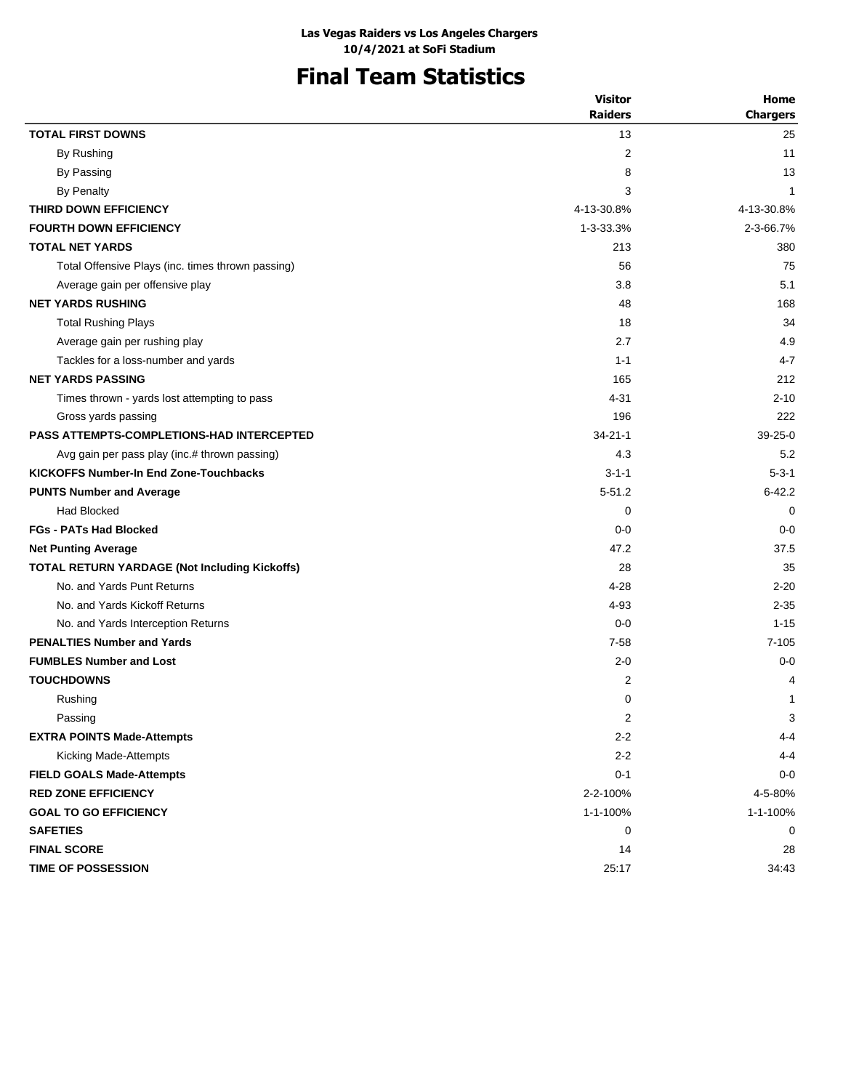# **Final Team Statistics**

|                                                   | <b>Visitor</b> | Home                      |
|---------------------------------------------------|----------------|---------------------------|
|                                                   | <b>Raiders</b> | <b>Chargers</b>           |
| <b>TOTAL FIRST DOWNS</b>                          | 13             | 25                        |
| By Rushing                                        | 2              | 11                        |
| By Passing                                        | 8              | 13                        |
| <b>By Penalty</b>                                 | 3              | 1                         |
| THIRD DOWN EFFICIENCY                             | 4-13-30.8%     | 4-13-30.8%                |
| <b>FOURTH DOWN EFFICIENCY</b>                     | 1-3-33.3%      | 2-3-66.7%                 |
| <b>TOTAL NET YARDS</b>                            | 213            | 380                       |
| Total Offensive Plays (inc. times thrown passing) | 56             | 75                        |
| Average gain per offensive play                   | 3.8            | 5.1                       |
| <b>NET YARDS RUSHING</b>                          | 48             | 168                       |
| <b>Total Rushing Plays</b>                        | 18             | 34                        |
| Average gain per rushing play                     | 2.7            | 4.9                       |
| Tackles for a loss-number and yards               | $1 - 1$        | $4 - 7$                   |
| <b>NET YARDS PASSING</b>                          | 165            | 212                       |
| Times thrown - yards lost attempting to pass      | $4 - 31$       | $2 - 10$                  |
| Gross yards passing                               | 196            | 222                       |
| <b>PASS ATTEMPTS-COMPLETIONS-HAD INTERCEPTED</b>  | $34 - 21 - 1$  | $39-25-0$                 |
| Avg gain per pass play (inc.# thrown passing)     | 4.3            | 5.2                       |
| <b>KICKOFFS Number-In End Zone-Touchbacks</b>     | $3 - 1 - 1$    | $5 - 3 - 1$               |
| <b>PUNTS Number and Average</b>                   | $5 - 51.2$     | $6 - 42.2$                |
| <b>Had Blocked</b>                                | 0              | $\mathbf 0$               |
| <b>FGs - PATs Had Blocked</b>                     | $0 - 0$        | $0 - 0$                   |
| <b>Net Punting Average</b>                        | 47.2           | 37.5                      |
| TOTAL RETURN YARDAGE (Not Including Kickoffs)     | 28             | 35                        |
| No. and Yards Punt Returns                        | $4 - 28$       | $2 - 20$                  |
| No. and Yards Kickoff Returns                     | 4-93           | $2 - 35$                  |
| No. and Yards Interception Returns                | $0 - 0$        | $1 - 15$                  |
| <b>PENALTIES Number and Yards</b>                 | $7 - 58$       | $7 - 105$                 |
| <b>FUMBLES Number and Lost</b>                    | $2 - 0$        | $0 - 0$                   |
| <b>TOUCHDOWNS</b>                                 | 2              | 4                         |
| Rushing                                           | 0              | 1                         |
| Passing                                           | 2              | $\ensuremath{\mathsf{3}}$ |
| <b>EXTRA POINTS Made-Attempts</b>                 | $2 - 2$        | $4 - 4$                   |
| Kicking Made-Attempts                             | $2 - 2$        | $4 - 4$                   |
| <b>FIELD GOALS Made-Attempts</b>                  | $0 - 1$        | $0-0$                     |
| <b>RED ZONE EFFICIENCY</b>                        | 2-2-100%       | 4-5-80%                   |
| <b>GOAL TO GO EFFICIENCY</b>                      | 1-1-100%       | 1-1-100%                  |
| <b>SAFETIES</b>                                   | 0              | 0                         |
| <b>FINAL SCORE</b>                                | 14             | 28                        |
| TIME OF POSSESSION                                | 25:17          | 34:43                     |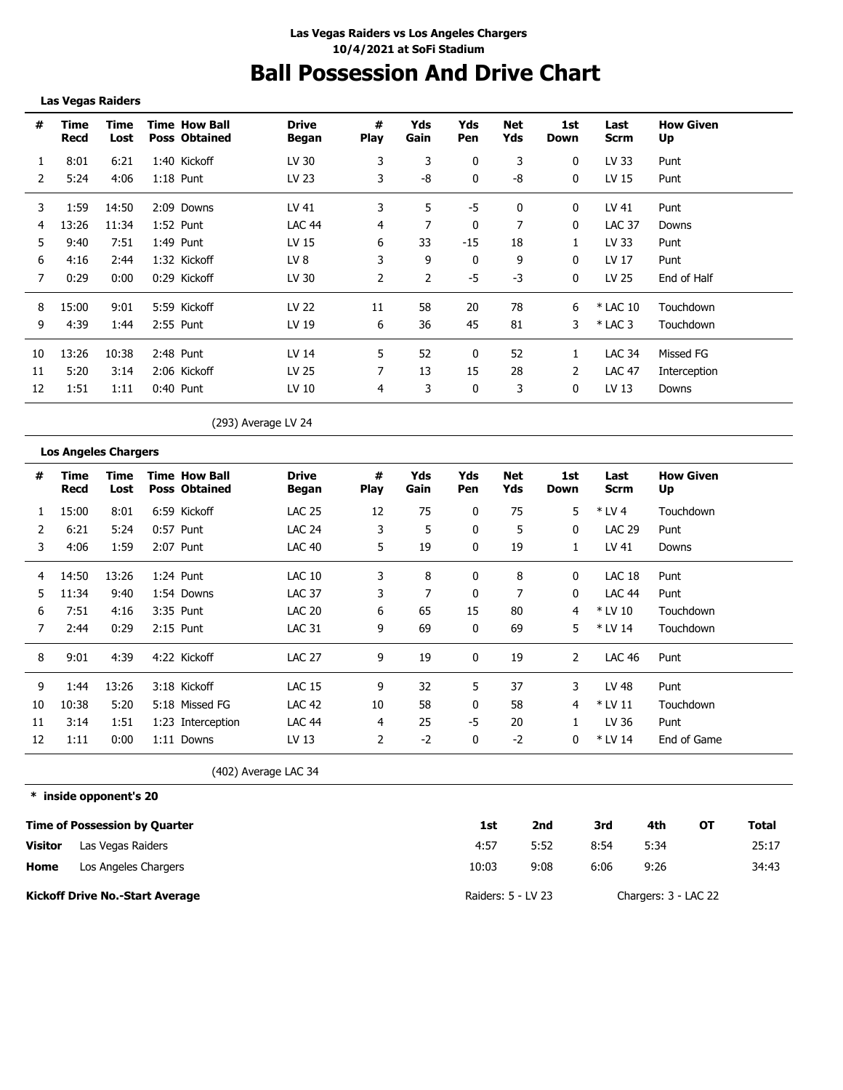# **Ball Possession And Drive Chart**

**Las Vegas Raiders**

| #  | Time<br>Recd | Time<br>Lost | <b>Time How Ball</b><br><b>Poss Obtained</b> | <b>Drive</b><br>Began | #<br><b>Play</b> | Yds<br>Gain | Yds<br>Pen | Net<br>Yds | 1st<br>Down | Last<br><b>Scrm</b> | <b>How Given</b><br>Up |
|----|--------------|--------------|----------------------------------------------|-----------------------|------------------|-------------|------------|------------|-------------|---------------------|------------------------|
| 1  | 8:01         | 6:21         | 1:40 Kickoff                                 | LV 30                 | 3                | 3           | 0          | 3          | 0           | LV 33               | Punt                   |
| 2  | 5:24         | 4:06         | $1:18$ Punt                                  | LV 23                 | 3                | -8          | $\Omega$   | -8         | $\Omega$    | LV 15               | Punt                   |
| 3  | 1:59         | 14:50        | 2:09 Downs                                   | LV 41                 | 3                | 5           | -5         | 0          | 0           | LV 41               | Punt                   |
| 4  | 13:26        | 11:34        | $1:52$ Punt                                  | <b>LAC 44</b>         | 4                |             | 0          |            | 0           | <b>LAC 37</b>       | Downs                  |
| 5  | 9:40         | 7:51         | 1:49 Punt                                    | LV 15                 | 6                | 33          | $-15$      | 18         |             | LV 33               | Punt                   |
| 6  | 4:16         | 2:44         | 1:32 Kickoff                                 | LV 8                  | 3                | 9           | 0          | 9          | $\Omega$    | LV 17               | Punt                   |
|    | 0:29         | 0:00         | 0:29 Kickoff                                 | LV 30                 | $\mathcal{P}$    | 2           | -5         | -3         | 0           | LV 25               | End of Half            |
| 8  | 15:00        | 9:01         | 5:59 Kickoff                                 | LV 22                 | 11               | 58          | 20         | 78         | 6           | * LAC 10            | Touchdown              |
| 9  | 4:39         | 1:44         | 2:55 Punt                                    | LV 19                 | 6                | 36          | 45         | 81         | 3           | $*$ LAC 3           | Touchdown              |
| 10 | 13:26        | 10:38        | $2:48$ Punt                                  | LV 14                 | 5.               | 52          | 0          | 52         |             | <b>LAC 34</b>       | Missed FG              |
| 11 | 5:20         | 3:14         | 2:06 Kickoff                                 | LV 25                 |                  | 13          | 15         | 28         | 2           | <b>LAC 47</b>       | Interception           |
| 12 | 1:51         | 1:11         | 0:40 Punt                                    | LV 10                 | 4                | 3           | 0          | 3          | 0           | LV 13               | Downs                  |

(293) Average LV 24

|  | <b>Los Angeles Chargers</b> |
|--|-----------------------------|
|  |                             |

| #             | Time<br>Recd | Time<br>Lost | <b>Time How Ball</b><br><b>Poss Obtained</b> | <b>Drive</b><br>Began | #<br><b>Play</b> | Yds<br>Gain | Yds<br>Pen | Net<br>Yds | 1st<br>Down  | Last<br>Scrm  | <b>How Given</b><br>Up |
|---------------|--------------|--------------|----------------------------------------------|-----------------------|------------------|-------------|------------|------------|--------------|---------------|------------------------|
|               | 15:00        | 8:01         | 6:59 Kickoff                                 | <b>LAC 25</b>         | 12               | 75          | 0          | 75         | 5            | $*$ LV 4      | Touchdown              |
| $\mathcal{P}$ | 6:21         | 5:24         | 0:57 Punt                                    | <b>LAC 24</b>         | 3                | 5           | 0          | 5          | 0            | <b>LAC 29</b> | Punt                   |
| 3             | 4:06         | 1:59         | 2:07 Punt                                    | <b>LAC 40</b>         | 5                | 19          | 0          | 19         | $\mathbf{1}$ | LV 41         | Downs                  |
| 4             | 14:50        | 13:26        | 1:24 Punt                                    | <b>LAC 10</b>         | 3                | 8           | 0          | 8          | 0            | LAC 18        | Punt                   |
| 5.            | 11:34        | 9:40         | 1:54 Downs                                   | <b>LAC 37</b>         | 3                | 7           | 0          | 7          | $\mathbf{0}$ | <b>LAC 44</b> | Punt                   |
| 6             | 7:51         | 4:16         | 3:35 Punt                                    | <b>LAC 20</b>         | 6                | 65          | 15         | 80         | 4            | * LV 10       | Touchdown              |
| 7             | 2:44         | 0:29         | 2:15 Punt                                    | <b>LAC 31</b>         | 9                | 69          | 0          | 69         | 5            | * LV 14       | Touchdown              |
| 8             | 9:01         | 4:39         | 4:22 Kickoff                                 | <b>LAC 27</b>         | 9                | 19          | 0          | 19         | 2            | <b>LAC 46</b> | Punt                   |
| 9             | 1:44         | 13:26        | 3:18 Kickoff                                 | <b>LAC 15</b>         | 9                | 32          | 5          | 37         | 3            | LV 48         | Punt                   |
| 10            | 10:38        | 5:20         | 5:18 Missed FG                               | <b>LAC 42</b>         | 10               | 58          | 0          | 58         | 4            | $*$ LV 11     | Touchdown              |
| 11            | 3:14         | 1:51         | 1:23 Interception                            | LAC 44                | 4                | 25          | -5         | 20         |              | LV 36         | Punt                   |
| 12            | 1:11         | 0:00         | 1:11 Downs                                   | LV 13                 | 2                | $-2$        | 0          | $-2$       | 0            | * LV 14       | End of Game            |
|               |              |              | $\overline{\phantom{a}}$                     | .                     |                  |             |            |            |              |               |                        |

(402) Average LAC 34

**\* inside opponent's 20**

|                | <b>Time of Possession by Quarter</b>   | 1st                | 2nd  | 3rd  | 4th                  | OТ | Total |
|----------------|----------------------------------------|--------------------|------|------|----------------------|----|-------|
| <b>Visitor</b> | Las Vegas Raiders                      | 4:57               | 5:52 | 8:54 | 5:34                 |    | 25:17 |
| Home           | Los Angeles Chargers                   | 10:03              | 9:08 | 6:06 | 9:26                 |    | 34:43 |
|                | <b>Kickoff Drive No.-Start Average</b> | Raiders: 5 - LV 23 |      |      | Chargers: 3 - LAC 22 |    |       |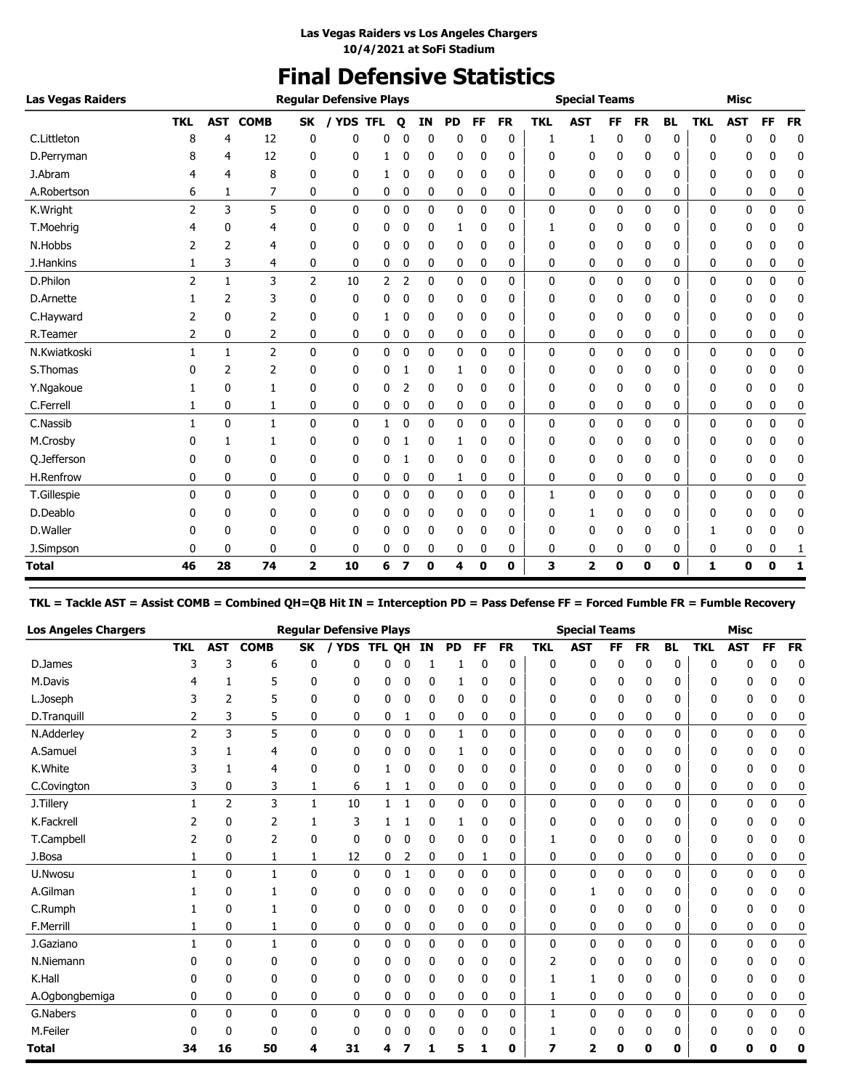# **Final Defensive Statistics**

| <b>Las Vegas Raiders</b> |                |              |                |                         | <b>Reqular Defensive Plays</b> |   |             |             |           |             |           |            | <b>Special Teams</b> |           |           |              |              | <b>Misc</b>  |              |           |
|--------------------------|----------------|--------------|----------------|-------------------------|--------------------------------|---|-------------|-------------|-----------|-------------|-----------|------------|----------------------|-----------|-----------|--------------|--------------|--------------|--------------|-----------|
|                          | <b>TKL</b>     | AST          | <b>COMB</b>    | SK                      | / YDS TFL                      |   | o           | IN          | <b>PD</b> | FF          | <b>FR</b> | <b>TKL</b> | <b>AST</b>           | <b>FF</b> | <b>FR</b> | <b>BL</b>    | <b>TKL</b>   | <b>AST</b>   | FF           | <b>FR</b> |
| C.Littleton              | 8              | 4            | 12             | 0                       | 0                              | 0 |             | 0           | 0         | 0           | 0         | 1          | 1                    | 0         | 0         | 0            | 0            | n            | 0            | 0         |
| D.Perryman               |                | 4            | 12             | 0                       | 0                              | 1 | 0           | 0           | 0         | 0           | 0         | 0          | 0                    | 0         | 0         | 0            | 0            | 0            | 0            | 0         |
| J.Abram                  | 4              | 4            | 8              | 0                       | 0                              | 1 | 0           | 0           | 0         | 0           | 0         | 0          | 0                    | 0         | 0         | 0            | 0            | 0            | 0            | 0         |
| A.Robertson              | 6              | 1            | 7              | 0                       | 0                              | 0 | 0           | 0           | 0         | 0           | 0         | 0          | 0                    | 0         | 0         | 0            | 0            | 0            | 0            | 0         |
| K.Wright                 | 2              | 3            | 5              | $\mathbf{0}$            | $\mathbf{0}$                   | 0 | $\mathbf 0$ | 0           | 0         | $\Omega$    | 0         | 0          | 0                    | 0         | 0         | $\mathbf{0}$ | 0            | 0            | 0            | 0         |
| T.Moehrig                |                | 0            | 4              | 0                       | 0                              | 0 | 0           | 0           | 1         | 0           | 0         |            | 0                    | 0         | 0         | 0            | 0            | 0            | 0            | 0         |
| N.Hobbs                  |                | 2            | 4              | 0                       | 0                              | 0 | 0           | 0           | 0         | 0           | 0         | 0          | 0                    | 0         | 0         | 0            | 0            | 0            | 0            | 0         |
| J.Hankins                |                | 3            | 4              | 0                       | 0                              | 0 | 0           | 0           | 0         | 0           | 0         | 0          | 0                    | 0         | 0         | 0            | 0            | 0            | 0            | 0         |
| D.Philon                 | 2              | $\mathbf{1}$ | 3              | $\overline{2}$          | 10                             | 2 | 2           | $\mathbf 0$ | 0         | 0           | 0         | 0          | 0                    | 0         | 0         | 0            | 0            | 0            | 0            | 0         |
| D.Arnette                |                | 2            | 3              | 0                       | 0                              | 0 | 0           | 0           | 0         | 0           | 0         | 0          | 0                    | 0         | 0         | 0            | 0            | 0            | 0            | 0         |
| C.Hayward                | 2              | 0            | 2              | 0                       | 0                              | 1 | 0           | 0           | 0         | 0           | 0         | 0          | 0                    | 0         | 0         | 0            | 0            | 0            | 0            | 0         |
| R.Teamer                 | $\overline{2}$ | 0            | 2              | 0                       | $\mathbf{0}$                   | 0 | 0           | 0           | 0         | 0           | 0         | 0          | 0                    | 0         | 0         | 0            | 0            | 0            | 0            | 0         |
| N.Kwiatkoski             |                | 1            | $\overline{2}$ | 0                       | 0                              | 0 | 0           | 0           | 0         | 0           | 0         | 0          | 0                    | 0         | 0         | 0            | 0            | 0            | 0            | 0         |
| S.Thomas                 |                | 2            | 2              | 0                       | 0                              | 0 |             | 0           | 1         | 0           | 0         | 0          | 0                    | 0         | 0         | 0            | 0            | 0            | 0            | 0         |
| Y.Ngakoue                |                | 0            | 1              | 0                       | 0                              | 0 | 2           | 0           | 0         | 0           | 0         | 0          | 0                    | 0         | 0         | 0            | 0            | 0            | 0            | 0         |
| C.Ferrell                | 1              | 0            | 1              | 0                       | 0                              | 0 | 0           | 0           | 0         | 0           | 0         | 0          | 0                    | 0         | 0         | 0            | 0            | 0            | 0            | 0         |
| C.Nassib                 |                | $\mathbf{0}$ | 1              | 0                       | $\mathbf{0}$                   | 1 | 0           | 0           | 0         | 0           | 0         | 0          | 0                    | 0         | 0         | $\mathbf{0}$ | 0            | 0            | 0            | 0         |
| M.Crosby                 |                | 1            | 1              | 0                       | 0                              | 0 |             | 0           | 1         | 0           | 0         | 0          | 0                    | 0         | 0         | $\mathbf{0}$ | 0            | 0            | 0            | 0         |
| Q.Jefferson              | 0              | 0            | 0              | 0                       | 0                              | 0 | 1           | 0           | 0         | 0           | 0         | 0          | 0                    | 0         | 0         | 0            | 0            | 0            | 0            | 0         |
| H.Renfrow                | 0              | 0            | 0              | 0                       | 0                              | 0 | 0           | 0           | 1         | 0           | 0         | 0          | 0                    | 0         | 0         | 0            | 0            | 0            | 0            | 0         |
| T.Gillespie              | 0              | $\mathbf{0}$ | 0              | $\mathbf{0}$            | $\mathbf{0}$                   | 0 | 0           | $\mathbf 0$ | 0         | 0           | 0         | 1          | 0                    | 0         | 0         | 0            | 0            | $\mathbf{0}$ | 0            | 0         |
| D.Deablo                 |                | 0            | 0              | 0                       | 0                              | 0 | 0           | 0           | 0         | 0           | 0         | 0          | 1                    | 0         | 0         | 0            | 0            | 0            | 0            | 0         |
| D.Waller                 |                | 0            | 0              | 0                       | $\mathbf{0}$                   | 0 | 0           | 0           | 0         | 0           | 0         | 0          | 0                    | 0         | 0         | 0            | 1            | $\mathbf{0}$ | 0            | 0         |
| J.Simpson                | 0              | 0            | 0              | 0                       | 0                              | 0 | 0           | 0           | 0         | 0           | 0         | 0          | 0                    | 0         | 0         | 0            | 0            | 0            | 0            |           |
| Total                    | 46             | 28           | 74             | $\overline{\mathbf{c}}$ | 10                             | 6 | 7           | $\mathbf 0$ | 4         | $\mathbf 0$ | 0         | 3          | 2                    | 0         | $\bf{0}$  | 0            | $\mathbf{1}$ | 0            | $\mathbf{0}$ | 1         |

**TKL = Tackle AST = Assist COMB = Combined QH=QB Hit IN = Interception PD = Pass Defense FF = Forced Fumble FR = Fumble Recovery**

| <b>Los Angeles Chargers</b> |            |                |             |           | <b>Regular Defensive Plays</b> |               |   |              |           |           |           |              | <b>Special Teams</b> |           |           |           |              | <b>Misc</b> |    |           |
|-----------------------------|------------|----------------|-------------|-----------|--------------------------------|---------------|---|--------------|-----------|-----------|-----------|--------------|----------------------|-----------|-----------|-----------|--------------|-------------|----|-----------|
|                             | <b>TKL</b> | <b>AST</b>     | <b>COMB</b> | <b>SK</b> | / YDS                          | <b>TFL QH</b> |   | IN           | <b>PD</b> | <b>FF</b> | <b>FR</b> | <b>TKL</b>   | <b>AST</b>           | <b>FF</b> | <b>FR</b> | <b>BL</b> | <b>TKL</b>   | <b>AST</b>  | FF | <b>FR</b> |
| D.James                     |            | 3              | 6           | 0         | 0                              | n             |   |              |           | C         | 0         | 0            | 0                    | 0         | 0         | 0         | $\mathbf{0}$ | 0           | 0  | 0         |
| M.Davis                     |            |                | 5           | 0         | 0                              | 0             | C | 0            |           | 0         | 0         | 0            | 0                    | 0         | 0         | 0         | 0            | 0           | 0  | 0         |
| L.Joseph                    |            | 2              | 5           | 0         | 0                              | 0             | 0 | 0            | 0         | 0         | 0         | 0            | 0                    | 0         | 0         | 0         | 0            | 0           | 0  | 0         |
| D.Tranquill                 |            | 3              | 5           | 0         | 0                              | 0             |   | 0            | 0         | 0         | 0         | 0            | 0                    | 0         | 0         | 0         | 0            | 0           | 0  | 0         |
| N.Adderley                  | 2          | 3              | 5           | 0         | 0                              | 0             | 0 | 0            | 1         | 0         | 0         | 0            | 0                    | 0         | 0         | 0         | 0            | 0           | 0  | 0         |
| A.Samuel                    |            |                | 4           | 0         | 0                              | 0             | 0 | 0            | 1         | 0         | 0         | 0            | 0                    | 0         | 0         | 0         | 0            | 0           | 0  | 0         |
| K.White                     |            |                | 4           | 0         | 0                              |               | 0 | 0            | 0         | 0         | 0         | 0            | 0                    | 0         | 0         | 0         | 0            | 0           | 0  | 0         |
| C.Covington                 | 3          | 0              | 3           | 1         | 6                              | 1             |   | 0            | 0         | 0         | 0         | 0            | 0                    | 0         | 0         | 0         | 0            | 0           | 0  | 0         |
| J.Tillery                   |            | $\overline{2}$ | 3           | 1         | 10                             | 1             |   | $\mathbf{0}$ | 0         | 0         | 0         | 0            | 0                    | 0         | 0         | 0         | 0            | 0           | 0  | 0         |
| K.Fackrell                  |            | 0              | 2           |           | 3                              |               |   | 0            | 1         | 0         | 0         | 0            | 0                    | 0         | 0         | 0         | 0            | 0           | 0  | 0         |
| T.Campbell                  |            | 0              | 2           | 0         | 0                              | 0             |   | 0            | 0         | 0         | 0         |              | 0                    | 0         | 0         | 0         | 0            | 0           | Ω  | 0         |
| J.Bosa                      |            | 0              | 1           | 1         | 12                             | 0             | 2 | 0            | 0         | 1         | 0         | 0            | 0                    | 0         | 0         | 0         | 0            | 0           | 0  | 0         |
| U.Nwosu                     |            | 0              | 1           | 0         | 0                              | 0             |   | 0            | 0         | 0         | 0         | 0            | 0                    | 0         | 0         | 0         | 0            | 0           | 0  | 0         |
| A.Gilman                    |            | 0              |             | 0         | 0                              | 0             |   | 0            | 0         | 0         | 0         | 0            | 1                    | 0         | 0         | 0         | 0            | 0           | 0  | 0         |
| C.Rumph                     |            | 0              |             | 0         | 0                              | 0             |   | 0            | 0         | 0         | 0         | 0            | 0                    | 0         | 0         | 0         | 0            | 0           | 0  | 0         |
| F.Merrill                   |            | 0              | 1           | 0         | 0                              | 0             | 0 | 0            | 0         | 0         | 0         | 0            | 0                    | 0         | 0         | 0         | 0            | 0           | 0  | 0         |
| J.Gaziano                   |            | 0              | 1           | 0         | 0                              | 0             | 0 | 0            | 0         | 0         | 0         | $\mathbf{0}$ | 0                    | 0         | 0         | 0         | 0            | 0           | 0  | 0         |
| N.Niemann                   |            | 0              | 0           | 0         | 0                              | 0             | 0 | 0            | 0         | 0         | 0         | 2            | 0                    | 0         | 0         | 0         | 0            | 0           | 0  | 0         |
| K.Hall                      |            | 0              | 0           | 0         | 0                              | 0             | 0 | 0            | 0         | 0         | 0         |              | 1                    | 0         | 0         | 0         | 0            | 0           | 0  | 0         |
| A.Ogbongbemiga              | 0          | 0              | 0           | 0         | 0                              | 0             | 0 | 0            | 0         | 0         | 0         | 1            | 0                    | 0         | 0         | 0         | 0            | 0           | 0  | 0         |
| G.Nabers                    | U          | $\mathbf{0}$   | 0           | 0         | 0                              | 0             | 0 | 0            | 0         | 0         | 0         | 1            | 0                    | 0         | 0         | 0         | 0            | 0           | 0  | 0         |
| M.Feiler                    |            | 0              | 0           | 0         | 0                              | 0             | U | 0            | 0         | 0         | 0         |              | 0                    | 0         | 0         | 0         | 0            | 0           | n  | 0         |
| Total                       | 34         | 16             | 50          | 4         | 31                             |               |   |              | 5         | 1         | 0         | 7            | 2                    | 0         | 0         | 0         | 0            | 0           |    | 0         |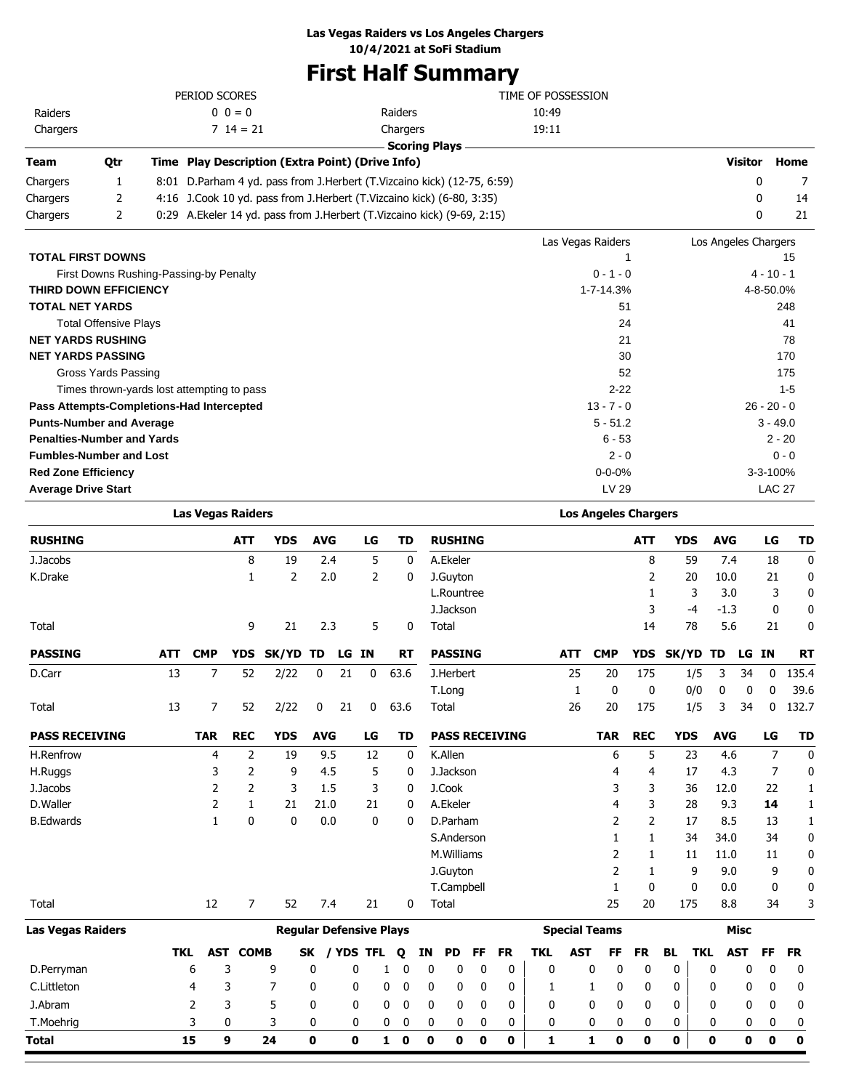### **Las Vegas Raiders vs Los Angeles Chargers**

**10/4/2021 at SoFi Stadium**

## **First Half Summary**

|          |     | PERIOD SCORES                                    |                                                                            | TIME OF POSSESSION |                |      |
|----------|-----|--------------------------------------------------|----------------------------------------------------------------------------|--------------------|----------------|------|
| Raiders  |     | $0 \t 0 = 0$                                     | Raiders                                                                    | 10:49              |                |      |
| Chargers |     | $7 \t14 = 21$                                    | Chargers                                                                   | 19:11              |                |      |
|          |     |                                                  | <b>Scoring Plays</b>                                                       |                    |                |      |
| Team     | Otr | Time Play Description (Extra Point) (Drive Info) |                                                                            |                    | <b>Visitor</b> | Home |
| Chargers |     |                                                  | 8:01 D. Parham 4 yd. pass from J. Herbert (T. Vizcaino kick) (12-75, 6:59) |                    | 0              |      |
| Chargers |     |                                                  | 4:16 J.Cook 10 yd. pass from J.Herbert (T.Vizcaino kick) (6-80, 3:35)      |                    |                | 14   |

|                                            | Las Vegas Raiders | Los Angeles Chargers |
|--------------------------------------------|-------------------|----------------------|
| <b>TOTAL FIRST DOWNS</b>                   |                   | 15                   |
| First Downs Rushing-Passing-by Penalty     | $0 - 1 - 0$       | $4 - 10 - 1$         |
| <b>THIRD DOWN EFFICIENCY</b>               | 1-7-14.3%         | 4-8-50.0%            |
| <b>TOTAL NET YARDS</b>                     | 51                | 248                  |
| <b>Total Offensive Plays</b>               | 24                | 41                   |
| <b>NET YARDS RUSHING</b>                   | 21                | 78                   |
| <b>NET YARDS PASSING</b>                   | 30                | 170                  |
| Gross Yards Passing                        | 52                | 175                  |
| Times thrown-yards lost attempting to pass | $2 - 22$          | $1 - 5$              |
| Pass Attempts-Completions-Had Intercepted  | $13 - 7 - 0$      | $26 - 20 - 0$        |
| <b>Punts-Number and Average</b>            | $5 - 51.2$        | $3 - 49.0$           |
| <b>Penalties-Number and Yards</b>          | $6 - 53$          | $2 - 20$             |
| <b>Fumbles-Number and Lost</b>             | $2 - 0$           | $0 - 0$              |
| <b>Red Zone Efficiency</b>                 | $0 - 0 - 0%$      | $3 - 3 - 100%$       |
| <b>Average Drive Start</b>                 | LV 29             | <b>LAC 27</b>        |

Chargers 2 0:29 A.Ekeler 14 yd. pass from J.Herbert (T.Vizcaino kick) (9-69, 2:15) 0 21

|                       | <b>Las Vegas Raiders</b> |                |              |                                |            |       |              | <b>Los Angeles Chargers</b> |    |                       |           |           |            |            |                      |                |              |            |             |              |             |
|-----------------------|--------------------------|----------------|--------------|--------------------------------|------------|-------|--------------|-----------------------------|----|-----------------------|-----------|-----------|------------|------------|----------------------|----------------|--------------|------------|-------------|--------------|-------------|
| <b>RUSHING</b>        |                          |                | <b>ATT</b>   | <b>YDS</b>                     | <b>AVG</b> |       | LG           | <b>TD</b>                   |    | <b>RUSHING</b>        |           |           |            |            |                      | <b>ATT</b>     | <b>YDS</b>   | <b>AVG</b> |             | LG           | <b>TD</b>   |
| J.Jacobs              |                          |                | 8            | 19                             |            | 2.4   | 5            |                             | 0  | A.Ekeler              |           |           |            |            |                      | 8              | 59           |            | 7.4         | 18           | 0           |
| K.Drake               |                          |                | 1            | 2                              |            | 2.0   | 2            |                             | 0  | J.Guyton              |           |           |            |            |                      | 2              | 20           | 10.0       |             | 21           | 0           |
|                       |                          |                |              |                                |            |       |              |                             |    | L.Rountree            |           |           |            |            |                      | 1              | 3            |            | 3.0         | 3            | 0           |
|                       |                          |                |              |                                |            |       |              |                             |    | J.Jackson             |           |           |            |            |                      | 3              | $-4$         | $-1.3$     |             | 0            | 0           |
| Total                 |                          |                | 9            | 21                             |            | 2.3   | 5            |                             | 0  | Total                 |           |           |            |            |                      | 14             | 78           |            | 5.6         | 21           | 0           |
| <b>PASSING</b>        | <b>ATT</b>               | <b>CMP</b>     | <b>YDS</b>   | <b>SK/YD</b>                   | TD         | LG IN |              | <b>RT</b>                   |    | <b>PASSING</b>        |           |           |            | <b>ATT</b> | <b>CMP</b>           | <b>YDS</b>     | <b>SK/YD</b> | <b>TD</b>  |             | LG IN        | <b>RT</b>   |
| D.Carr                | 13                       | 7              | 52           | 2/22                           | 0          | 21    | 0            | 63.6                        |    | J.Herbert             |           |           |            | 25         | 20                   | 175            | 1/5          | 3          | 34          | 0            | 135.4       |
|                       |                          |                |              |                                |            |       |              |                             |    | T.Long                |           |           |            | 1          | 0                    | 0              | 0/0          | 0          | 0           | $\mathbf{0}$ | 39.6        |
| Total                 | 13                       | 7              | 52           | 2/22                           | 0          | 21    | 0            | 63.6                        |    | Total                 |           |           |            | 26         | 20                   | 175            | 1/5          | 3          | 34          | 0            | 132.7       |
| <b>PASS RECEIVING</b> |                          | <b>TAR</b>     | <b>REC</b>   | <b>YDS</b>                     | <b>AVG</b> |       | LG           | <b>TD</b>                   |    | <b>PASS RECEIVING</b> |           |           |            |            | <b>TAR</b>           | <b>REC</b>     | <b>YDS</b>   | <b>AVG</b> |             | LG           | <b>TD</b>   |
| H.Renfrow             |                          | 4              | 2            | 19                             |            | 9.5   | 12           |                             | 0  | K.Allen               |           |           |            |            | 6                    | 5              | 23           |            | 4.6         | 7            | $\mathbf 0$ |
| H.Ruggs               |                          | 3              | 2            | 9                              |            | 4.5   | 5            |                             | 0  | J.Jackson             |           |           |            |            | 4                    | 4              | 17           |            | 4.3         | 7            | 0           |
| J.Jacobs              |                          | 2              | 2            | 3                              |            | 1.5   | 3            |                             | 0  | J.Cook                |           |           |            |            | 3                    | 3              | 36           | 12.0       |             | 22           | 1           |
| D.Waller              |                          | 2              | $\mathbf{1}$ | 21                             | 21.0       |       | 21           |                             | 0  | A.Ekeler              |           |           |            |            | 4                    | 3              | 28           |            | 9.3         | 14           | 1           |
| <b>B.Edwards</b>      |                          | $\mathbf{1}$   | $\mathbf{0}$ | $\mathbf{0}$                   |            | 0.0   | $\mathbf{0}$ |                             | 0  | D.Parham              |           |           |            |            | 2                    | $\overline{2}$ | 17           |            | 8.5         | 13           | 1           |
|                       |                          |                |              |                                |            |       |              |                             |    | S.Anderson            |           |           |            |            | 1                    | 1              | 34           | 34.0       |             | 34           | 0           |
|                       |                          |                |              |                                |            |       |              |                             |    | M.Williams            |           |           |            |            | 2                    | 1              | 11           | 11.0       |             | 11           | 0           |
|                       |                          |                |              |                                |            |       |              |                             |    | J.Guyton              |           |           |            |            | 2                    | 1              | 9            |            | 9.0         | 9            | 0           |
|                       |                          |                |              |                                |            |       |              |                             |    | T.Campbell            |           |           |            |            | $\mathbf{1}$         | 0              | 0            |            | 0.0         | 0            | 0           |
| Total                 |                          | 12             | 7            | 52                             |            | 7.4   | 21           |                             | 0  | Total                 |           |           |            |            | 25                   | 20             | 175          |            | 8.8         | 34           | 3           |
| Las Vegas Raiders     |                          |                |              | <b>Regular Defensive Plays</b> |            |       |              |                             |    |                       |           |           |            |            | <b>Special Teams</b> |                |              |            | <b>Misc</b> |              |             |
|                       | <b>TKL</b>               | <b>AST</b>     | <b>COMB</b>  |                                | <b>SK</b>  |       | / YDS TFL    | Q                           | ΙN | <b>PD</b>             | <b>FF</b> | <b>FR</b> | <b>TKL</b> | <b>AST</b> | FF                   | <b>FR</b>      | <b>BL</b>    | <b>TKL</b> | <b>AST</b>  | FF           | <b>FR</b>   |
| D.Perryman            |                          | 6              | 3            | 9                              | 0          |       | $\mathbf{0}$ | 0<br>1                      |    | 0<br>0                | 0         | 0         | 0          |            | 0<br>0               | 0              | 0            | 0          | 0           | 0            | 0           |
| C.Littleton           |                          | 4              | 3            | 7                              | 0          |       | 0            | 0<br>0                      |    | 0<br>0                | 0         | 0         | 1          |            | 0<br>1               | 0              | 0            | 0          | 0           | 0            | 0           |
| J.Abram               |                          | $\overline{2}$ | 3            | 5                              | 0          |       | 0            | 0<br>0                      |    | 0<br>0                | 0         | 0         | 0          |            | $\mathbf{0}$<br>0    | 0              | 0            | 0          | 0           | 0            | 0           |
| T.Moehrig             |                          | 3              | 0            | 3                              | 0          |       | 0            | 0<br>0                      |    | 0<br>0                | 0         | 0         | 0          |            | 0<br>0               | 0              | 0            | 0          | 0           | 0            | 0           |
| Total                 |                          | 15             | 9            | 24                             | 0          |       | 0            | 0<br>$\mathbf{1}$           |    | 0<br>0                | 0         | 0         | 1          |            | $\bf{0}$<br>1        | 0              | 0            | 0          | $\mathbf 0$ | 0            | $\bf{0}$    |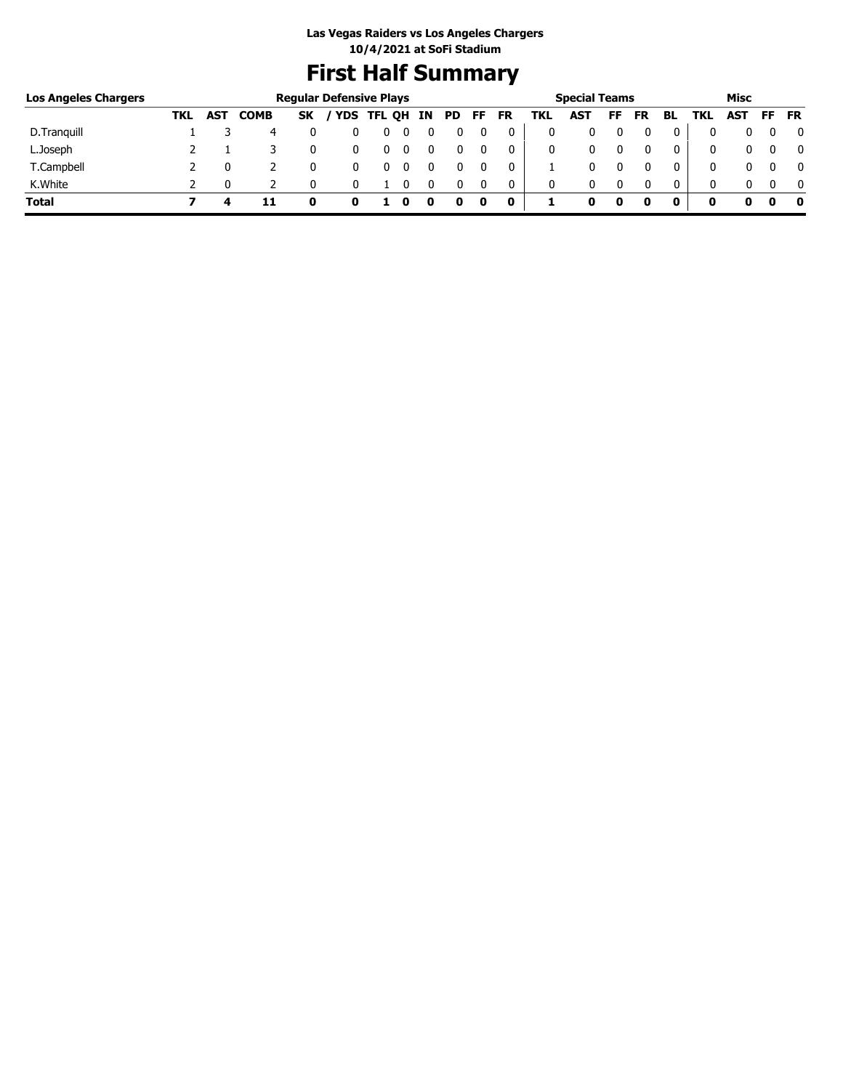## **First Half Summary**

| <b>Los Angeles Chargers</b> |     |            |             |           | <b>Regular Defensive Plays</b> |            |    |     |    | <b>Special Teams</b><br>Misc |     |            |    |           |     |      |     |     |           |
|-----------------------------|-----|------------|-------------|-----------|--------------------------------|------------|----|-----|----|------------------------------|-----|------------|----|-----------|-----|------|-----|-----|-----------|
|                             | TKL | <b>AST</b> | <b>COMB</b> | <b>SK</b> |                                | YDS TFL QH | IN | PD. | FF | <b>FR</b>                    | TKL | <b>AST</b> | FF | <b>FR</b> | BL. | TKL. | AST | FF. | <b>FR</b> |
| D. Tranguill                |     |            | 4           |           |                                | υ          |    |     |    | 0                            | 0   |            |    |           | 0   |      |     |     | 0         |
| L.Joseph                    |     |            |             |           |                                | U          |    |     |    | 0                            | 0   |            |    |           | 0   |      |     |     | 0         |
| T.Campbell                  |     |            |             |           |                                | U          |    |     |    | 0                            |     |            |    |           | 0   |      |     |     | 0         |
| K.White                     |     |            |             |           |                                |            |    |     |    | 0                            | 0   | 0          |    |           | 0   |      |     |     | $\Omega$  |
| <b>Total</b>                |     | 4          |             |           |                                |            | u  |     | 0  | 0                            |     | o          | 0  |           |     | o    | o   |     | 0         |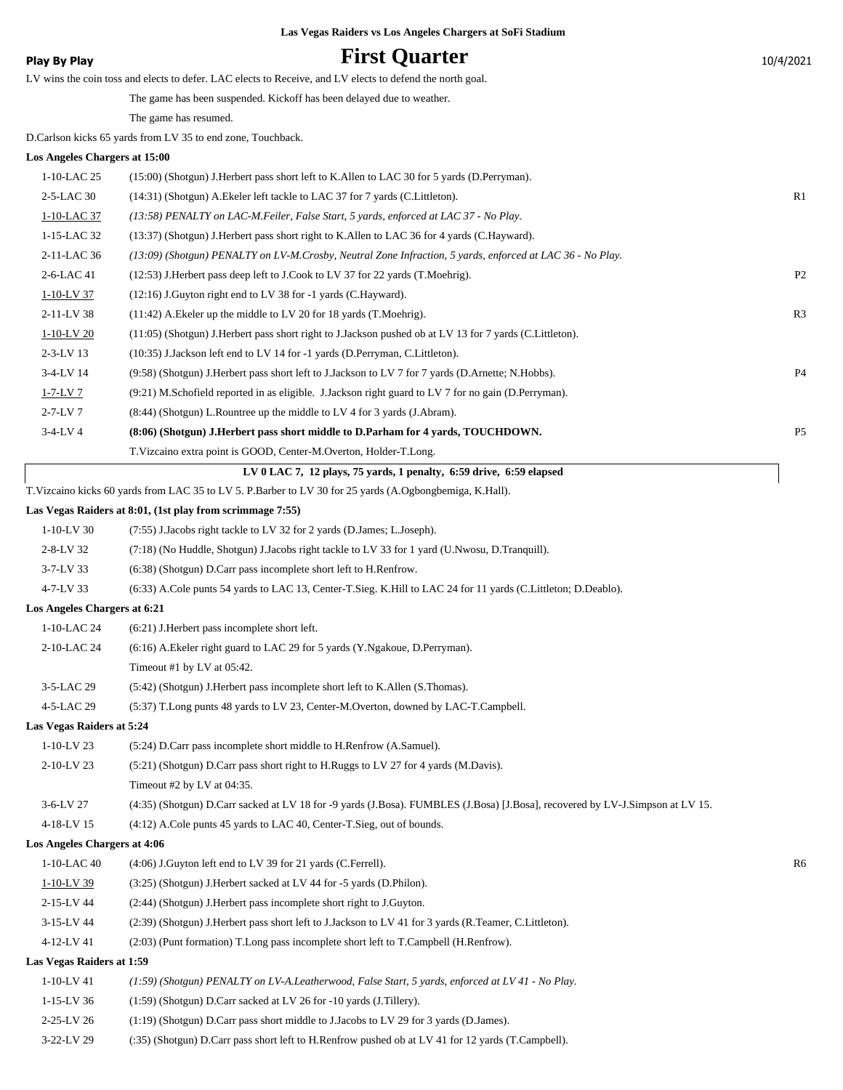### **Play By Play Play Play Play First Quarter** 10/4/2021

| . |                                                                                                           |  |
|---|-----------------------------------------------------------------------------------------------------------|--|
|   | LV wins the coin toss and elects to defer. LAC elects to Receive, and LV elects to defend the north goal. |  |

The game has been suspended. Kickoff has been delayed due to weather.

The game has resumed.

D.Carlson kicks 65 yards from LV 35 to end zone, Touchback.

#### **Los Angeles Chargers at 15:00**

| 1-10-LAC 25     | (15:00) (Shotgun) J. Herbert pass short left to K. Allen to LAC 30 for 5 yards (D. Perryman).             |                |
|-----------------|-----------------------------------------------------------------------------------------------------------|----------------|
| 2-5-LAC 30      | (14:31) (Shotgun) A. Ekeler left tackle to LAC 37 for 7 yards (C. Littleton).                             | R <sub>1</sub> |
| 1-10-LAC 37     | (13:58) PENALTY on LAC-M.Feiler, False Start, 5 yards, enforced at LAC 37 - No Play.                      |                |
| 1-15-LAC 32     | (13:37) (Shotgun) J.Herbert pass short right to K.Allen to LAC 36 for 4 yards (C.Hayward).                |                |
| 2-11-LAC 36     | (13:09) (Shotgun) PENALTY on LV-M.Crosby, Neutral Zone Infraction, 5 yards, enforced at LAC 36 - No Play. |                |
| 2-6-LAC 41      | (12:53) J.Herbert pass deep left to J.Cook to LV 37 for 22 yards (T.Moehrig).                             | P <sub>2</sub> |
| 1-10-LV 37      | $(12:16)$ J. Guyton right end to LV 38 for -1 yards (C. Hayward).                                         |                |
| 2-11-LV 38      | $(11:42)$ A. Ekeler up the middle to LV 20 for 18 yards (T. Moehrig).                                     | R <sub>3</sub> |
| $1-10-LV$ 20    | (11:05) (Shotgun) J.Herbert pass short right to J.Jackson pushed ob at LV 13 for 7 yards (C.Littleton).   |                |
| $2 - 3 - LV$ 13 | (10:35) J.Jackson left end to LV 14 for -1 yards (D.Perryman, C.Littleton).                               |                |
| $3-4-LV$ 14     | (9.58) (Shotgun) J. Herbert pass short left to J. Jackson to LV 7 for 7 yards (D. Arnette; N. Hobbs).     | P <sub>4</sub> |
| $1-7-LV$ 7      | (9:21) M.Schofield reported in as eligible. J.Jackson right guard to LV 7 for no gain (D.Perryman).       |                |
| $2 - 7 - LV$ 7  | $(8:44)$ (Shotgun) L. Rountree up the middle to LV 4 for 3 yards (J. Abram).                              |                |
| $3-4-LV$ 4      | (8:06) (Shotgun) J.Herbert pass short middle to D.Parham for 4 yards, TOUCHDOWN.                          | P <sub>5</sub> |
|                 | T. Vizcaino extra point is GOOD, Center-M. Overton, Holder-T. Long.                                       |                |
|                 | LV $0$ LAC 7, 12 plays, 75 yards, 1 penalty, 6:59 drive, 6:59 elapsed                                     |                |

T.Vizcaino kicks 60 yards from LAC 35 to LV 5. P.Barber to LV 30 for 25 yards (A.Ogbongbemiga, K.Hall).

#### **Las Vegas Raiders at 8:01, (1st play from scrimmage 7:55)**

| $1-10-LV$ 30<br>(7:55) J.Jacobs right tackle to LV 32 for 2 yards (D.James; L.Joseph). |  |
|----------------------------------------------------------------------------------------|--|
|----------------------------------------------------------------------------------------|--|

- 2-8-LV 32 (7:18) (No Huddle, Shotgun) J.Jacobs right tackle to LV 33 for 1 yard (U.Nwosu, D.Tranquill).
- 3-7-LV 33 (6:38) (Shotgun) D.Carr pass incomplete short left to H.Renfrow.
- 4-7-LV 33 (6:33) A.Cole punts 54 yards to LAC 13, Center-T.Sieg. K.Hill to LAC 24 for 11 yards (C.Littleton; D.Deablo).

#### **Los Angeles Chargers at 6:21**

| $1-10-LAC24$  | $(6:21)$ J. Herbert pass incomplete short left.                                    |
|---------------|------------------------------------------------------------------------------------|
| 2-10-LAC 24   | (6:16) A. Ekeler right guard to LAC 29 for 5 yards (Y. Ngakoue, D. Perryman).      |
|               | Timeout #1 by LV at $05:42$ .                                                      |
| $3-5$ -LAC 29 | (5:42) (Shotgun) J. Herbert pass incomplete short left to K. Allen (S. Thomas).    |
| 4-5-LAC 29    | (5:37) T.Long punts 48 yards to LV 23, Center-M.Overton, downed by LAC-T.Campbell. |

**Las Vegas Raiders at 5:24**

| $1-10-LV$ 23                 | (5:24) D.Carr pass incomplete short middle to H.Renfrow (A.Samuel).                                                           |    |
|------------------------------|-------------------------------------------------------------------------------------------------------------------------------|----|
| $2-10-LV$ 23                 | (5.21) (Shotgun) D.Carr pass short right to H.Ruggs to LV 27 for 4 yards (M.Davis).                                           |    |
|                              | Timeout #2 by LV at $04:35$ .                                                                                                 |    |
| $3-6-LV$ 27                  | (4:35) (Shotgun) D.Carr sacked at LV 18 for -9 yards (J.Bosa). FUMBLES (J.Bosa) [J.Bosa], recovered by LV-J.Simpson at LV 15. |    |
| 4-18-LV 15                   | $(4:12)$ A.Cole punts 45 yards to LAC 40, Center-T.Sieg, out of bounds.                                                       |    |
| Los Angeles Chargers at 4:06 |                                                                                                                               |    |
| $1-10$ -LAC 40               | $(4:06)$ J. Guyton left end to LV 39 for 21 yards (C. Ferrell).                                                               | R6 |
| $1-10-LV$ 39                 | (3:25) (Shotgun) J.Herbert sacked at LV 44 for -5 yards (D.Philon).                                                           |    |
| 2-15-LV 44                   | (2:44) (Shotgun) J. Herbert pass incomplete short right to J. Guyton.                                                         |    |
| 3-15-LV 44                   | (2:39) (Shotgun) J.Herbert pass short left to J.Jackson to LV 41 for 3 yards (R.Teamer, C.Littleton).                         |    |
| 4-12-LV 41                   | $(2:03)$ (Punt formation) T. Long pass incomplete short left to T. Campbell (H. Renfrow).                                     |    |

#### **Las Vegas Raiders at 1:59**

- 1-10-LV 41 *(1:59) (Shotgun) PENALTY on LV-A.Leatherwood, False Start, 5 yards, enforced at LV 41 No Play.*
- 1-15-LV 36 (1:59) (Shotgun) D.Carr sacked at LV 26 for -10 yards (J.Tillery).
- 2-25-LV 26 (1:19) (Shotgun) D.Carr pass short middle to J.Jacobs to LV 29 for 3 yards (D.James).
- 3-22-LV 29 (:35) (Shotgun) D.Carr pass short left to H.Renfrow pushed ob at LV 41 for 12 yards (T.Campbell).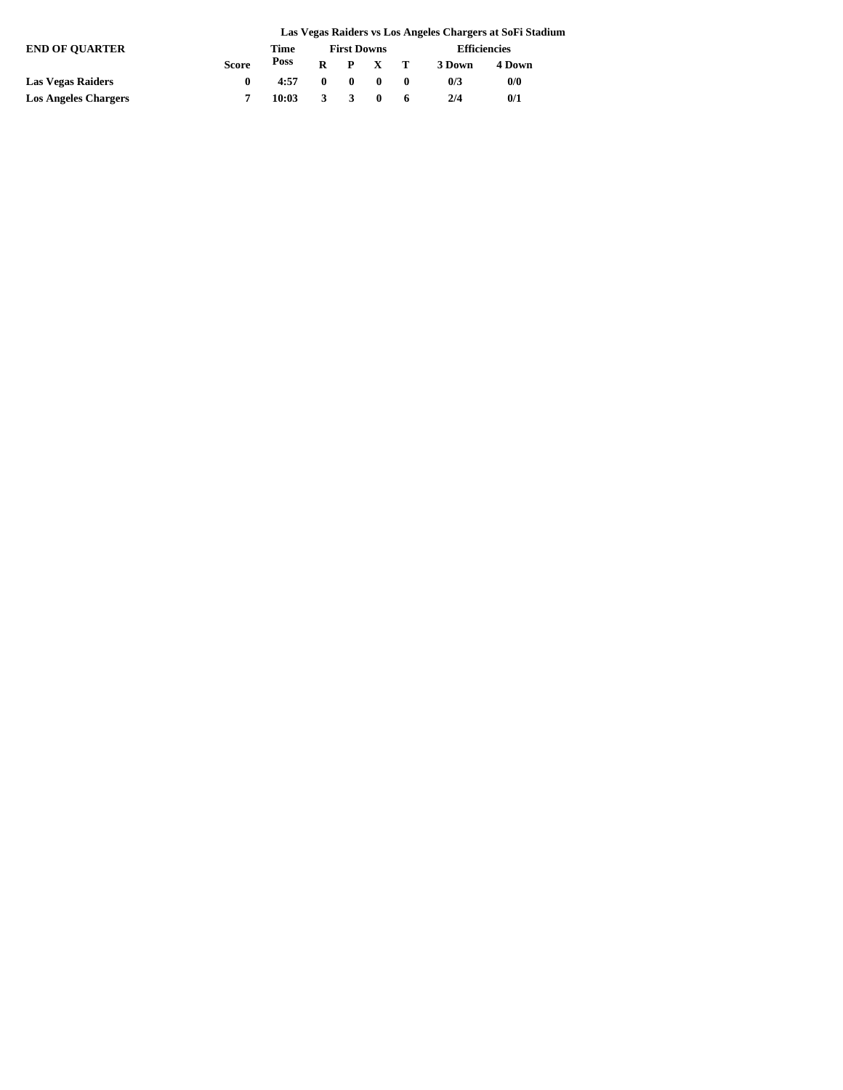|                             | Las Vegas Raiders vs Los Angeles Chargers at SoFi Stadium |       |                    |              |                 |  |                     |        |  |
|-----------------------------|-----------------------------------------------------------|-------|--------------------|--------------|-----------------|--|---------------------|--------|--|
| <b>END OF OUARTER</b>       |                                                           | Time  | <b>First Downs</b> |              |                 |  | <b>Efficiencies</b> |        |  |
|                             | <b>Score</b>                                              | Poss  |                    |              | $R$ $P$ $X$ $T$ |  | 3 Down              | 4 Down |  |
| Las Vegas Raiders           | $\mathbf{0}$                                              | 4:57  | $\mathbf{0}$       | $\mathbf{0}$ | $\blacksquare$  |  | 0/3                 | 0/0    |  |
| <b>Los Angeles Chargers</b> |                                                           | 10:03 | 3                  |              |                 |  | 2/4                 | 0/1    |  |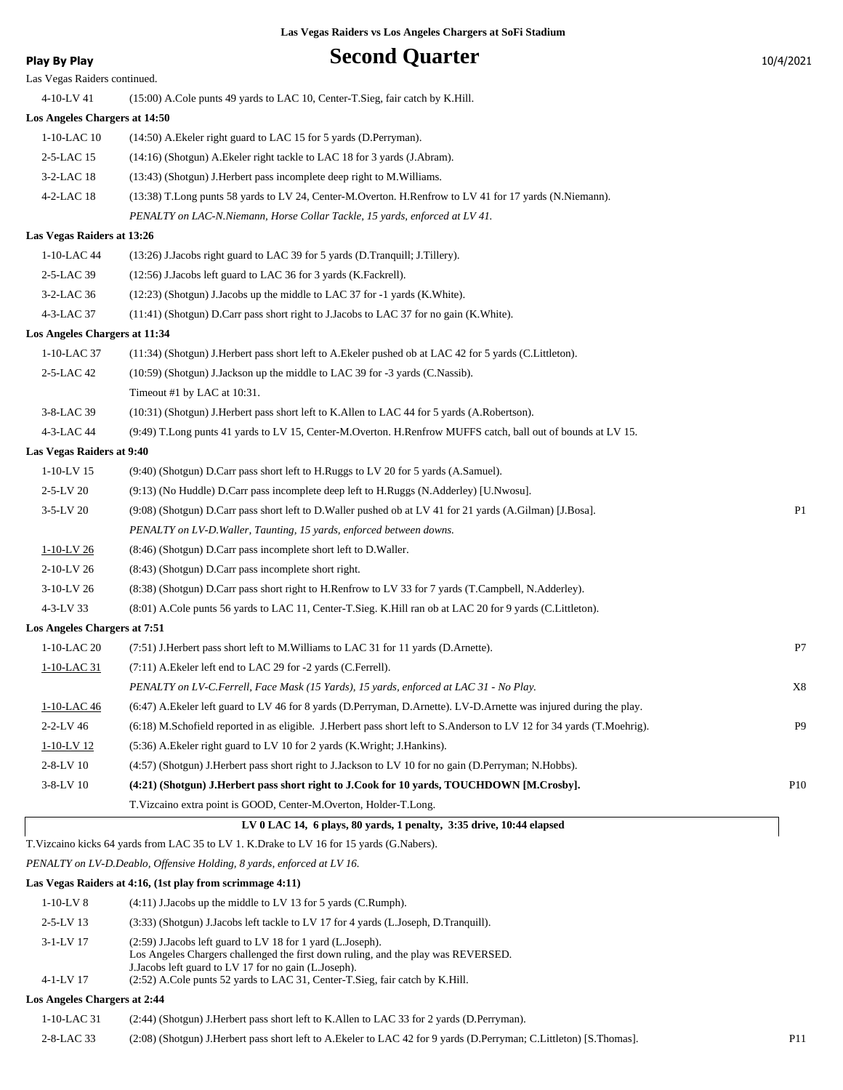### **Play By Play Play Play Play Second Quarter** 10/4/2021

| Las Vegas Raiders continued.  |                                                                                                                        |                |
|-------------------------------|------------------------------------------------------------------------------------------------------------------------|----------------|
| 4-10-LV 41                    | (15:00) A.Cole punts 49 yards to LAC 10, Center-T.Sieg, fair catch by K.Hill.                                          |                |
| Los Angeles Chargers at 14:50 |                                                                                                                        |                |
| 1-10-LAC 10                   | (14:50) A. Ekeler right guard to LAC 15 for 5 yards (D. Perryman).                                                     |                |
| 2-5-LAC 15                    | (14:16) (Shotgun) A. Ekeler right tackle to LAC 18 for 3 yards (J. Abram).                                             |                |
| 3-2-LAC 18                    | (13:43) (Shotgun) J.Herbert pass incomplete deep right to M.Williams.                                                  |                |
| 4-2-LAC 18                    | (13:38) T.Long punts 58 yards to LV 24, Center-M.Overton. H.Renfrow to LV 41 for 17 yards (N.Niemann).                 |                |
|                               | PENALTY on LAC-N.Niemann, Horse Collar Tackle, 15 yards, enforced at LV 41.                                            |                |
| Las Vegas Raiders at 13:26    |                                                                                                                        |                |
| 1-10-LAC 44                   | (13:26) J.Jacobs right guard to LAC 39 for 5 yards (D.Tranquill; J.Tillery).                                           |                |
| 2-5-LAC 39                    | (12:56) J.Jacobs left guard to LAC 36 for 3 yards (K.Fackrell).                                                        |                |
| 3-2-LAC 36                    | (12:23) (Shotgun) J.Jacobs up the middle to LAC 37 for -1 yards (K. White).                                            |                |
| 4-3-LAC 37                    | (11:41) (Shotgun) D.Carr pass short right to J.Jacobs to LAC 37 for no gain (K.White).                                 |                |
| Los Angeles Chargers at 11:34 |                                                                                                                        |                |
| 1-10-LAC 37                   | (11:34) (Shotgun) J.Herbert pass short left to A.Ekeler pushed ob at LAC 42 for 5 yards (C.Littleton).                 |                |
| 2-5-LAC 42                    | (10:59) (Shotgun) J.Jackson up the middle to LAC 39 for -3 yards (C.Nassib).                                           |                |
|                               | Timeout #1 by LAC at 10:31.                                                                                            |                |
| 3-8-LAC 39                    | (10:31) (Shotgun) J.Herbert pass short left to K.Allen to LAC 44 for 5 yards (A.Robertson).                            |                |
| 4-3-LAC 44                    | (9:49) T.Long punts 41 yards to LV 15, Center-M.Overton. H.Renfrow MUFFS catch, ball out of bounds at LV 15.           |                |
| Las Vegas Raiders at 9:40     |                                                                                                                        |                |
| $1-10-LV$ 15                  | (9:40) (Shotgun) D.Carr pass short left to H.Ruggs to LV 20 for 5 yards (A.Samuel).                                    |                |
| $2 - 5 - LV$ 20               | (9:13) (No Huddle) D.Carr pass incomplete deep left to H.Ruggs (N.Adderley) [U.Nwosu].                                 |                |
| $3 - 5 - LV$ 20               | (9:08) (Shotgun) D.Carr pass short left to D.Waller pushed ob at LV 41 for 21 yards (A.Gilman) [J.Bosa].               | P <sub>1</sub> |
|                               | PENALTY on LV-D. Waller, Taunting, 15 yards, enforced between downs.                                                   |                |
| $1-10-LV$ 26                  | (8:46) (Shotgun) D.Carr pass incomplete short left to D.Waller.                                                        |                |
| 2-10-LV 26                    | (8:43) (Shotgun) D.Carr pass incomplete short right.                                                                   |                |
| 3-10-LV 26                    | (8:38) (Shotgun) D.Carr pass short right to H.Renfrow to LV 33 for 7 yards (T.Campbell, N.Adderley).                   |                |
| 4-3-LV 33                     | (8:01) A.Cole punts 56 yards to LAC 11, Center-T.Sieg. K.Hill ran ob at LAC 20 for 9 yards (C.Littleton).              |                |
| Los Angeles Chargers at 7:51  |                                                                                                                        |                |
| 1-10-LAC 20                   | (7:51) J. Herbert pass short left to M. Williams to LAC 31 for 11 yards (D. Arnette).                                  | P7             |
| 1-10-LAC 31                   | $(7:11)$ A. Ekeler left end to LAC 29 for $-2$ yards (C. Ferrell).                                                     |                |
|                               | PENALTY on LV-C.Ferrell, Face Mask (15 Yards), 15 yards, enforced at LAC 31 - No Play.                                 | X8             |
| $1-10-LAC46$                  | (6:47) A. Ekeler left guard to LV 46 for 8 yards (D. Perryman, D. Arnette). LV-D. Arnette was injured during the play. |                |
| $2 - 2 - LV$ 46               | (6:18) M.Schofield reported in as eligible. J.Herbert pass short left to S.Anderson to LV 12 for 34 yards (T.Moehrig). | P <sub>9</sub> |
| $1-10-LV$ 12                  | (5:36) A. Ekeler right guard to LV 10 for 2 yards (K. Wright; J. Hankins).                                             |                |
| 2-8-LV 10                     | (4:57) (Shotgun) J.Herbert pass short right to J.Jackson to LV 10 for no gain (D.Perryman; N.Hobbs).                   |                |
| 3-8-LV 10                     | (4:21) (Shotgun) J.Herbert pass short right to J.Cook for 10 yards, TOUCHDOWN [M.Crosby].                              | <b>P10</b>     |
|                               | T. Vizcaino extra point is GOOD, Center-M. Overton, Holder-T. Long.                                                    |                |
|                               | LV 0 LAC 14, 6 plays, 80 yards, 1 penalty, 3:35 drive, 10:44 elapsed                                                   |                |
|                               | T.Vizcaino kicks 64 yards from LAC 35 to LV 1. K.Drake to LV 16 for 15 yards (G.Nabers).                               |                |
|                               | PENALTY on LV-D.Deablo, Offensive Holding, 8 yards, enforced at LV 16.                                                 |                |
|                               | Las Vegas Raiders at 4:16, (1st play from scrimmage 4:11)                                                              |                |
| $1-10-LV8$                    | (4:11) J.Jacobs up the middle to LV 13 for 5 yards (C.Rumph).                                                          |                |

2-5-LV 13 (3:33) (Shotgun) J.Jacobs left tackle to LV 17 for 4 yards (L.Joseph, D.Tranquill).

(2:59) J.Jacobs left guard to LV 18 for 1 yard (L.Joseph). Los Angeles Chargers challenged the first down ruling, and the play was REVERSED. 3-1-LV 17

- J.Jacobs left guard to LV 17 for no gain (L.Joseph).
- 4-1-LV 17 (2:52) A.Cole punts 52 yards to LAC 31, Center-T.Sieg, fair catch by K.Hill.

#### **Los Angeles Chargers at 2:44**

| 1-10-LAC 31 | (2:44) (Shotgun) J.Herbert pass short left to K.Allen to LAC 33 for 2 yards (D.Perryman).                          |                 |
|-------------|--------------------------------------------------------------------------------------------------------------------|-----------------|
| 2-8-LAC 33  | (2:08) (Shotgun) J.Herbert pass short left to A.Ekeler to LAC 42 for 9 yards (D.Perryman; C.Littleton) [S.Thomas]. | P <sub>11</sub> |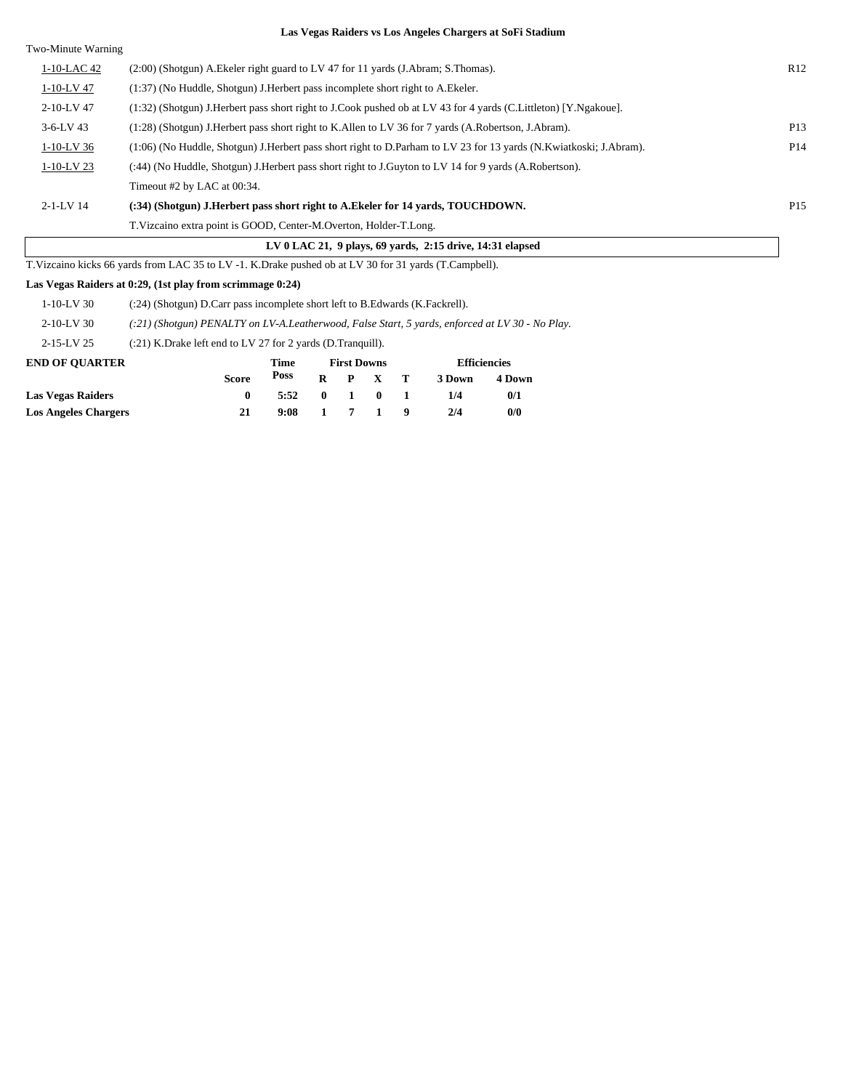| Two-Minute Warning |                                                                                                                   |                 |
|--------------------|-------------------------------------------------------------------------------------------------------------------|-----------------|
| 1-10-LAC 42        | $(2.00)$ (Shotgun) A. Ekeler right guard to LV 47 for 11 yards (J. Abram; S. Thomas).                             | R12             |
| 1-10-LV 47         | (1:37) (No Huddle, Shotgun) J. Herbert pass incomplete short right to A. Ekeler.                                  |                 |
| 2-10-LV 47         | (1:32) (Shotgun) J.Herbert pass short right to J.Cook pushed ob at LV 43 for 4 yards (C.Littleton) [Y.Ngakoue].   |                 |
| $3-6-LV$ 43        | (1:28) (Shotgun) J.Herbert pass short right to K.Allen to LV 36 for 7 yards (A.Robertson, J.Abram).               | P <sub>13</sub> |
| $1-10-LV$ 36       | (1:06) (No Huddle, Shotgun) J.Herbert pass short right to D.Parham to LV 23 for 13 yards (N.Kwiatkoski; J.Abram). | P <sub>14</sub> |
| $1-10-LV$ 23       | (:44) (No Huddle, Shotgun) J. Herbert pass short right to J. Guyton to LV 14 for 9 yards (A. Robertson).          |                 |
|                    | Timeout #2 by LAC at 00:34.                                                                                       |                 |
| $2 - 1 - LV$ 14    | (:34) (Shotgun) J.Herbert pass short right to A.Ekeler for 14 vards, TOUCHDOWN.                                   | P <sub>15</sub> |
|                    | T. Vizcaino extra point is GOOD, Center-M. Overton, Holder-T. Long.                                               |                 |
|                    | LV $0$ LAC 21, $9$ plays, $69$ yards, $2:15$ drive, $14:31$ elapsed                                               |                 |
|                    | T. Vizcaino kicks 66 yards from LAC 35 to LV -1. K. Drake pushed ob at LV 30 for 31 yards (T. Campbell).          |                 |

#### **Las Vegas Raiders at 0:29, (1st play from scrimmage 0:24)**

| <b>Las Vegas Raiders</b> | 0                                                                                               | 5:52        | $\mathbf{0}$ |   | $\mathbf 0$                               |  | 1/4    | 0/1    |  |
|--------------------------|-------------------------------------------------------------------------------------------------|-------------|--------------|---|-------------------------------------------|--|--------|--------|--|
|                          | <b>Score</b>                                                                                    | <b>Poss</b> | R            | P | $\mathbf{x}$                              |  | 3 Down | 4 Down |  |
| <b>END OF OUARTER</b>    |                                                                                                 | Time        |              |   | <b>Efficiencies</b><br><b>First Downs</b> |  |        |        |  |
| $2 - 15 - LV$ 25         | $(21)$ K.Drake left end to LV 27 for 2 yards (D.Tranguill).                                     |             |              |   |                                           |  |        |        |  |
| $2-10-LV$ 30             | (:21) (Shotgun) PENALTY on LV-A.Leatherwood, False Start, 5 yards, enforced at LV 30 - No Play. |             |              |   |                                           |  |        |        |  |
| $1-10-LV$ 30             | (:24) (Shotgun) D.Carr pass incomplete short left to B.Edwards (K.Fackrell).                    |             |              |   |                                           |  |        |        |  |
|                          |                                                                                                 |             |              |   |                                           |  |        |        |  |

**Los Angeles Chargers 21 9:08 1 7 1 9 2/4 0/0**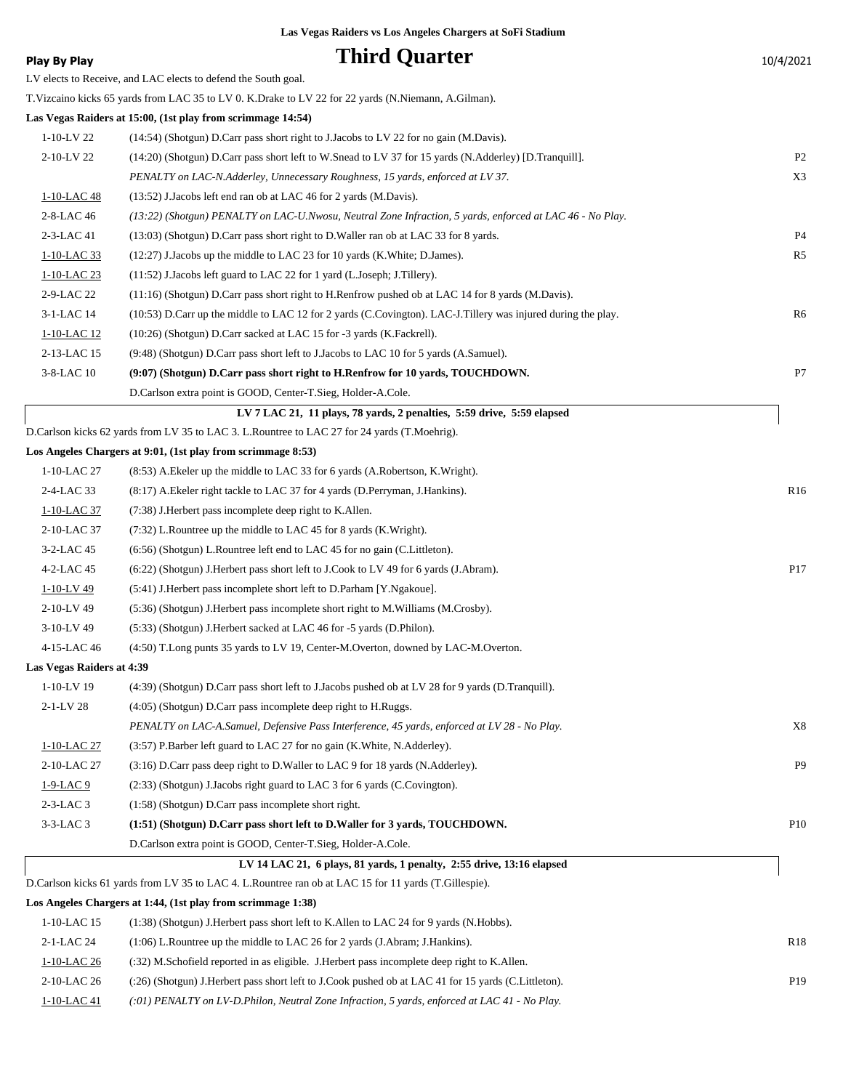| Play By Play              | <b>Third Quarter</b>                                                                                         | 10/4/2021       |
|---------------------------|--------------------------------------------------------------------------------------------------------------|-----------------|
|                           | LV elects to Receive, and LAC elects to defend the South goal.                                               |                 |
|                           | T. Vizcaino kicks 65 yards from LAC 35 to LV 0. K. Drake to LV 22 for 22 yards (N. Niemann, A. Gilman).      |                 |
|                           | Las Vegas Raiders at 15:00, (1st play from scrimmage 14:54)                                                  |                 |
| $1-10-LV$ 22              | (14:54) (Shotgun) D.Carr pass short right to J.Jacobs to LV 22 for no gain (M.Davis).                        |                 |
| 2-10-LV 22                | (14:20) (Shotgun) D.Carr pass short left to W.Snead to LV 37 for 15 yards (N.Adderley) [D.Tranquill].        | P <sub>2</sub>  |
|                           | PENALTY on LAC-N.Adderley, Unnecessary Roughness, 15 yards, enforced at LV 37.                               | X3              |
| 1-10-LAC 48               | (13:52) J.Jacobs left end ran ob at LAC 46 for 2 yards (M.Davis).                                            |                 |
| 2-8-LAC 46                | (13:22) (Shotgun) PENALTY on LAC-U.Nwosu, Neutral Zone Infraction, 5 yards, enforced at LAC 46 - No Play.    |                 |
| 2-3-LAC 41                | (13:03) (Shotgun) D.Carr pass short right to D.Waller ran ob at LAC 33 for 8 yards.                          | P <sub>4</sub>  |
| 1-10-LAC 33               | $(12:27)$ J. Jacobs up the middle to LAC 23 for 10 yards (K. White; D. James).                               | R <sub>5</sub>  |
| 1-10-LAC 23               | $(11:52)$ J.Jacobs left guard to LAC 22 for 1 yard (L.Joseph; J.Tillery).                                    |                 |
| 2-9-LAC 22                | $(11:16)$ (Shotgun) D.Carr pass short right to H.Renfrow pushed ob at LAC 14 for 8 yards (M.Davis).          |                 |
| 3-1-LAC 14                | (10:53) D.Carr up the middle to LAC 12 for 2 yards (C.Covington). LAC-J.Tillery was injured during the play. | R6              |
| 1-10-LAC 12               | (10:26) (Shotgun) D.Carr sacked at LAC 15 for -3 yards (K.Fackrell).                                         |                 |
| 2-13-LAC 15               | (9.48) (Shotgun) D.Carr pass short left to J.Jacobs to LAC 10 for 5 yards (A.Samuel).                        |                 |
| 3-8-LAC 10                | (9:07) (Shotgun) D.Carr pass short right to H.Renfrow for 10 yards, TOUCHDOWN.                               | P7              |
|                           | D.Carlson extra point is GOOD, Center-T.Sieg, Holder-A.Cole.                                                 |                 |
|                           | LV 7 LAC 21, 11 plays, 78 yards, 2 penalties, 5:59 drive, 5:59 elapsed                                       |                 |
|                           | D.Carlson kicks 62 yards from LV 35 to LAC 3. L.Rountree to LAC 27 for 24 yards (T.Moehrig).                 |                 |
|                           | Los Angeles Chargers at 9:01, (1st play from scrimmage 8:53)                                                 |                 |
| 1-10-LAC 27               | (8.53) A. Ekeler up the middle to LAC 33 for 6 yards (A. Robertson, K. Wright).                              |                 |
| 2-4-LAC 33                | (8:17) A. Ekeler right tackle to LAC 37 for 4 yards (D. Perryman, J. Hankins).                               | R <sub>16</sub> |
| 1-10-LAC 37               | (7:38) J.Herbert pass incomplete deep right to K.Allen.                                                      |                 |
| 2-10-LAC 37               | (7:32) L.Rountree up the middle to LAC 45 for 8 yards (K.Wright).                                            |                 |
| 3-2-LAC 45                | $(6:56)$ (Shotgun) L.Rountree left end to LAC 45 for no gain (C.Littleton).                                  |                 |
| 4-2-LAC 45                | (6.22) (Shotgun) J. Herbert pass short left to J. Cook to LV 49 for 6 yards (J. Abram).                      | P17             |
| $1-10-LV$ 49              | (5:41) J. Herbert pass incomplete short left to D. Parham [Y. Ngakoue].                                      |                 |
| 2-10-LV 49                | (5:36) (Shotgun) J. Herbert pass incomplete short right to M. Williams (M. Crosby).                          |                 |
| 3-10-LV 49                | (5:33) (Shotgun) J. Herbert sacked at LAC 46 for -5 yards (D. Philon).                                       |                 |
| 4-15-LAC 46               | (4:50) T.Long punts 35 yards to LV 19, Center-M.Overton, downed by LAC-M.Overton.                            |                 |
| Las Vegas Raiders at 4:39 |                                                                                                              |                 |
| $1-10-LV$ 19              | (4:39) (Shotgun) D.Carr pass short left to J.Jacobs pushed ob at LV 28 for 9 yards (D.Tranquill).            |                 |
| 2-1-LV 28                 | (4:05) (Shotgun) D.Carr pass incomplete deep right to H.Ruggs.                                               |                 |
|                           | PENALTY on LAC-A.Samuel, Defensive Pass Interference, 45 yards, enforced at LV 28 - No Play.                 | X8              |
| 1-10-LAC 27               | (3:57) P.Barber left guard to LAC 27 for no gain (K.White, N.Adderley).                                      |                 |
| 2-10-LAC 27               | (3:16) D.Carr pass deep right to D.Waller to LAC 9 for 18 yards (N.Adderley).                                | P <sub>9</sub>  |
| 1-9-LAC 9                 | (2:33) (Shotgun) J.Jacobs right guard to LAC 3 for 6 yards (C.Covington).                                    |                 |
| $2-3-LAC3$                | (1:58) (Shotgun) D.Carr pass incomplete short right.                                                         |                 |
| $3-3-LAC3$                | (1:51) (Shotgun) D.Carr pass short left to D.Waller for 3 yards, TOUCHDOWN.                                  | P <sub>10</sub> |
|                           | D.Carlson extra point is GOOD, Center-T.Sieg, Holder-A.Cole.                                                 |                 |
|                           | LV 14 LAC 21, 6 plays, 81 yards, 1 penalty, 2:55 drive, 13:16 elapsed                                        |                 |
|                           | D. Carlson kicks 61 yards from LV 35 to LAC 4. L. Rountree ran ob at LAC 15 for 11 yards (T. Gillespie).     |                 |
|                           | Los Angeles Chargers at 1:44, (1st play from scrimmage 1:38)                                                 |                 |
| 1-10-LAC 15               | (1:38) (Shotgun) J. Herbert pass short left to K. Allen to LAC 24 for 9 yards (N. Hobbs).                    |                 |
| 2-1-LAC 24                | (1:06) L.Rountree up the middle to LAC 26 for 2 yards (J.Abram; J.Hankins).                                  | R <sub>18</sub> |
| 1-10-LAC 26               | (:32) M.Schofield reported in as eligible. J.Herbert pass incomplete deep right to K.Allen.                  |                 |

2-10-LAC 26 (:26) (Shotgun) J.Herbert pass short left to J.Cook pushed ob at LAC 41 for 15 yards (C.Littleton). P19

1-10-LAC 41 *(:01) PENALTY on LV-D.Philon, Neutral Zone Infraction, 5 yards, enforced at LAC 41 - No Play.*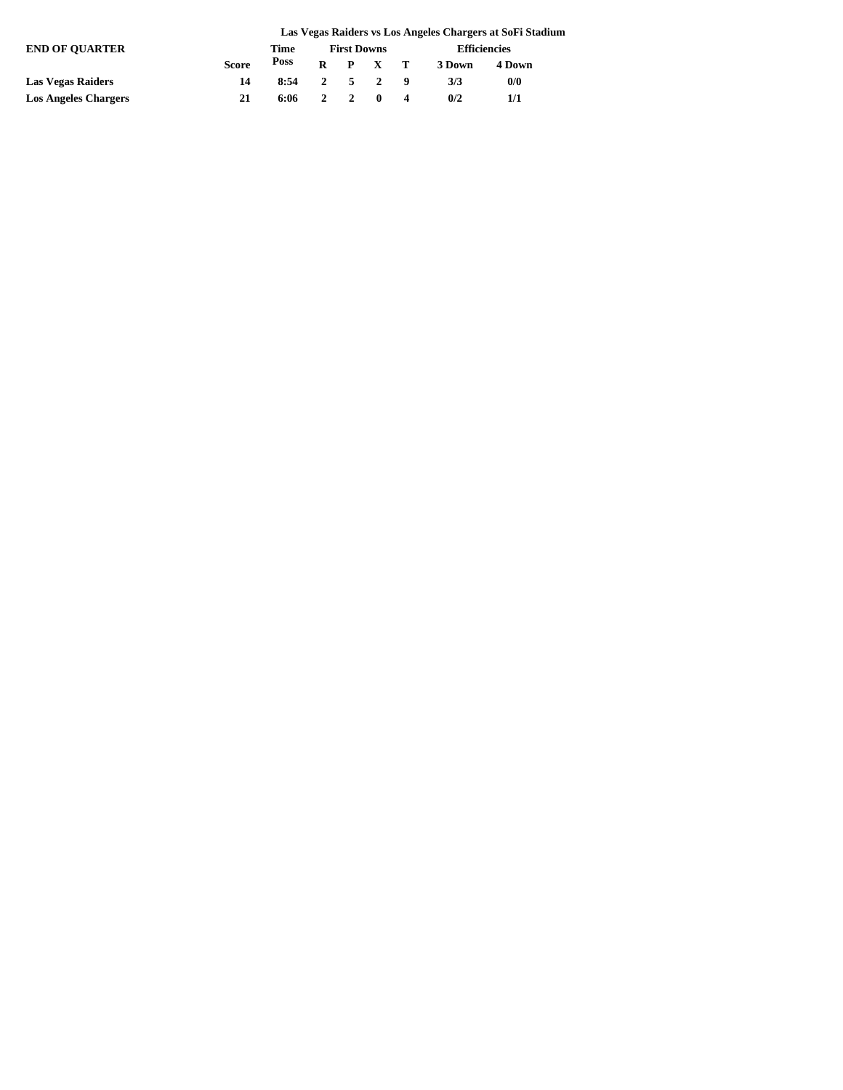|                             |              |      | Las Vegas Raiders vs Los Angeles Chargers at SoFi Stadium |                    |                     |  |                     |        |  |  |  |  |
|-----------------------------|--------------|------|-----------------------------------------------------------|--------------------|---------------------|--|---------------------|--------|--|--|--|--|
| <b>END OF OUARTER</b>       |              | Time |                                                           | <b>First Downs</b> |                     |  | <b>Efficiencies</b> |        |  |  |  |  |
|                             | <b>Score</b> | Poss |                                                           |                    | $R$ $P$ $X$ $T$     |  | 3 Down              | 4 Down |  |  |  |  |
| <b>Las Vegas Raiders</b>    | 14           | 8:54 |                                                           |                    | $2 \quad 5 \quad 2$ |  | 3/3                 | 0/0    |  |  |  |  |
| <b>Los Angeles Chargers</b> | 21           | 6:06 | 2                                                         |                    | $\blacksquare$      |  | 0/2                 | 1/1    |  |  |  |  |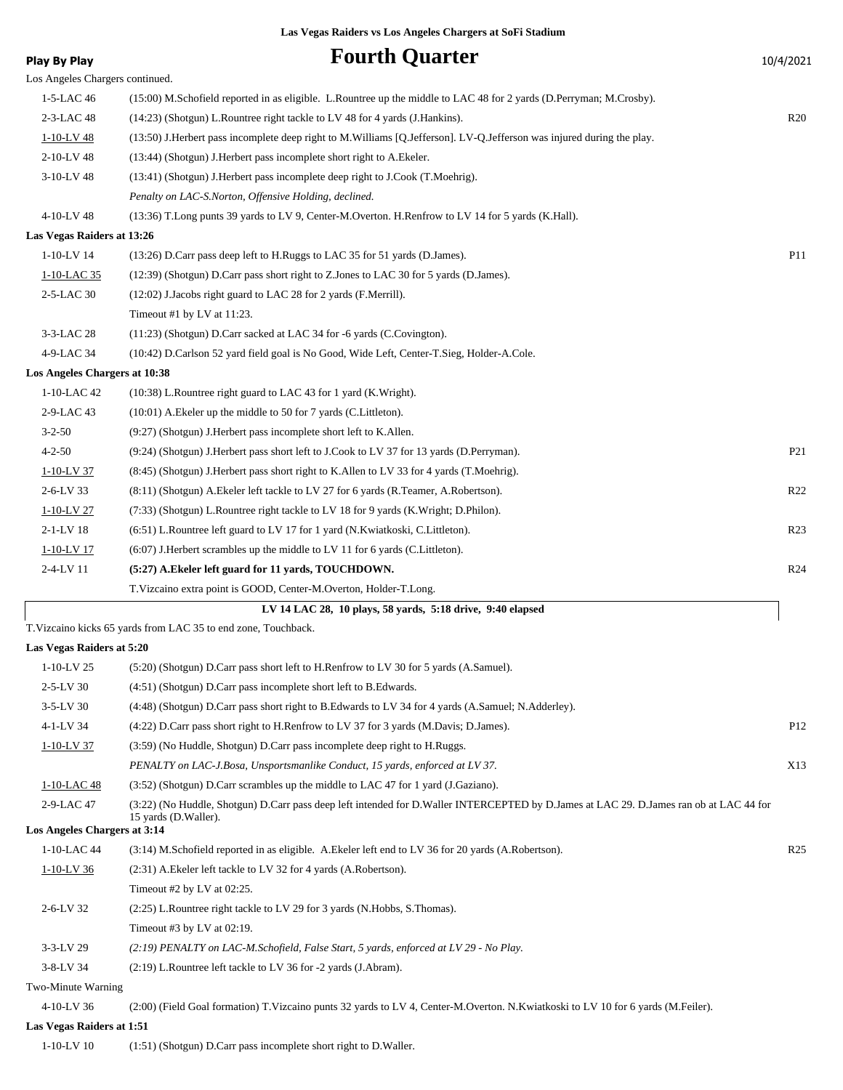| <b>Play By Play</b>                         | <b>Fourth Quarter</b>                                                                                                                                          | 10/4/2021       |
|---------------------------------------------|----------------------------------------------------------------------------------------------------------------------------------------------------------------|-----------------|
| Los Angeles Chargers continued.             |                                                                                                                                                                |                 |
| 1-5-LAC 46                                  | (15:00) M.Schofield reported in as eligible. L.Rountree up the middle to LAC 48 for 2 yards (D.Perryman; M.Crosby).                                            |                 |
| 2-3-LAC 48                                  | (14:23) (Shotgun) L.Rountree right tackle to LV 48 for 4 yards (J.Hankins).                                                                                    | R20             |
| $1 - 10 - LV$ 48                            | (13:50) J.Herbert pass incomplete deep right to M.Williams [Q.Jefferson]. LV-Q.Jefferson was injured during the play.                                          |                 |
| 2-10-LV 48                                  | (13:44) (Shotgun) J. Herbert pass incomplete short right to A. Ekeler.                                                                                         |                 |
| 3-10-LV 48                                  | (13:41) (Shotgun) J. Herbert pass incomplete deep right to J. Cook (T. Moehrig).                                                                               |                 |
|                                             | Penalty on LAC-S.Norton, Offensive Holding, declined.                                                                                                          |                 |
| 4-10-LV 48                                  | (13:36) T.Long punts 39 yards to LV 9, Center-M.Overton. H.Renfrow to LV 14 for 5 yards (K.Hall).                                                              |                 |
| Las Vegas Raiders at 13:26                  |                                                                                                                                                                |                 |
| $1 - 10 - LV$ 14                            | (13:26) D.Carr pass deep left to H.Ruggs to LAC 35 for 51 yards (D.James).                                                                                     | <b>P11</b>      |
| 1-10-LAC 35                                 | (12:39) (Shotgun) D.Carr pass short right to Z.Jones to LAC 30 for 5 yards (D.James).                                                                          |                 |
| 2-5-LAC 30                                  | $(12:02)$ J.Jacobs right guard to LAC 28 for 2 yards (F.Merrill).                                                                                              |                 |
|                                             | Timeout #1 by LV at 11:23.                                                                                                                                     |                 |
| 3-3-LAC 28                                  |                                                                                                                                                                |                 |
|                                             | $(11:23)$ (Shotgun) D.Carr sacked at LAC 34 for -6 yards (C.Covington).                                                                                        |                 |
| 4-9-LAC 34<br>Los Angeles Chargers at 10:38 | (10:42) D.Carlson 52 yard field goal is No Good, Wide Left, Center-T.Sieg, Holder-A.Cole.                                                                      |                 |
|                                             |                                                                                                                                                                |                 |
| 1-10-LAC 42                                 | $(10:38)$ L. Rountree right guard to LAC 43 for 1 yard (K. Wright).<br>(10:01) A. Ekeler up the middle to 50 for 7 yards (C. Littleton).                       |                 |
| 2-9-LAC 43                                  |                                                                                                                                                                |                 |
| $3 - 2 - 50$                                | (9:27) (Shotgun) J. Herbert pass incomplete short left to K. Allen.                                                                                            |                 |
| $4 - 2 - 50$                                | (9:24) (Shotgun) J.Herbert pass short left to J.Cook to LV 37 for 13 yards (D.Perryman).                                                                       | P <sub>21</sub> |
| $1-10-LV$ 37                                | (8:45) (Shotgun) J. Herbert pass short right to K. Allen to LV 33 for 4 yards (T. Moehrig).                                                                    |                 |
| $2 - 6 - LV$ 33                             | (8.11) (Shotgun) A. Ekeler left tackle to LV 27 for 6 yards (R. Teamer, A. Robertson).                                                                         | R <sub>22</sub> |
| 1-10-LV 27                                  | (7:33) (Shotgun) L.Rountree right tackle to LV 18 for 9 yards (K.Wright; D.Philon).                                                                            |                 |
| $2 - 1 - LV$ 18                             | (6:51) L.Rountree left guard to LV 17 for 1 yard (N.Kwiatkoski, C.Littleton).                                                                                  | R <sub>23</sub> |
| $1-10-LV$ 17                                | $(6.07)$ J. Herbert scrambles up the middle to LV 11 for 6 yards (C. Littleton).                                                                               |                 |
| 2-4-LV 11                                   | (5:27) A. Ekeler left guard for 11 yards, TOUCHDOWN.                                                                                                           | R <sub>24</sub> |
|                                             | T.Vizcaino extra point is GOOD, Center-M.Overton, Holder-T.Long.                                                                                               |                 |
|                                             | LV 14 LAC 28, 10 plays, 58 yards, 5:18 drive, 9:40 elapsed                                                                                                     |                 |
|                                             | T. Vizcaino kicks 65 yards from LAC 35 to end zone, Touchback.                                                                                                 |                 |
| Las Vegas Raiders at 5:20                   |                                                                                                                                                                |                 |
| 1-10-LV 25                                  | (5:20) (Shotgun) D.Carr pass short left to H.Renfrow to LV 30 for 5 yards (A.Samuel).                                                                          |                 |
| $2 - 5 - LV$ 30                             | (4:51) (Shotgun) D.Carr pass incomplete short left to B.Edwards.                                                                                               |                 |
| 3-5-LV 30                                   | (4:48) (Shotgun) D.Carr pass short right to B.Edwards to LV 34 for 4 yards (A.Samuel; N.Adderley).                                                             |                 |
| 4-1-LV 34                                   | (4:22) D.Carr pass short right to H.Renfrow to LV 37 for 3 yards (M.Davis; D.James).                                                                           | P <sub>12</sub> |
| $1-10-LV$ 37                                | (3:59) (No Huddle, Shotgun) D.Carr pass incomplete deep right to H.Ruggs.                                                                                      |                 |
|                                             | PENALTY on LAC-J.Bosa, Unsportsmanlike Conduct, 15 yards, enforced at LV 37.                                                                                   | X13             |
| 1-10-LAC 48                                 | (3:52) (Shotgun) D.Carr scrambles up the middle to LAC 47 for 1 yard (J.Gaziano).                                                                              |                 |
| 2-9-LAC 47                                  | (3:22) (No Huddle, Shotgun) D.Carr pass deep left intended for D.Waller INTERCEPTED by D.James at LAC 29. D.James ran ob at LAC 44 for<br>15 yards (D.Waller). |                 |
| Los Angeles Chargers at 3:14                |                                                                                                                                                                |                 |
| 1-10-LAC 44                                 | (3:14) M.Schofield reported in as eligible. A.Ekeler left end to LV 36 for 20 yards (A.Robertson).                                                             | R <sub>25</sub> |
| $1-10-LV$ 36                                | (2:31) A. Ekeler left tackle to LV 32 for 4 yards (A. Robertson).                                                                                              |                 |
|                                             | Timeout #2 by LV at 02:25.                                                                                                                                     |                 |
| $2 - 6 - LV$ 32                             | (2:25) L.Rountree right tackle to LV 29 for 3 yards (N.Hobbs, S.Thomas).                                                                                       |                 |
|                                             | Timeout #3 by LV at $02:19$ .                                                                                                                                  |                 |
| $3 - 3 - LV$ 29                             | (2:19) PENALTY on LAC-M.Schofield, False Start, 5 yards, enforced at LV 29 - No Play.                                                                          |                 |
| 3-8-LV 34                                   | (2:19) L.Rountree left tackle to LV 36 for -2 yards (J.Abram).                                                                                                 |                 |
| Two-Minute Warning                          |                                                                                                                                                                |                 |
| 4-10-LV 36                                  | (2:00) (Field Goal formation) T.Vizcaino punts 32 yards to LV 4, Center-M.Overton. N.Kwiatkoski to LV 10 for 6 yards (M.Feiler).                               |                 |
| Las Vegas Raiders at 1:51                   |                                                                                                                                                                |                 |
|                                             |                                                                                                                                                                |                 |

1-10-LV 10 (1:51) (Shotgun) D.Carr pass incomplete short right to D.Waller.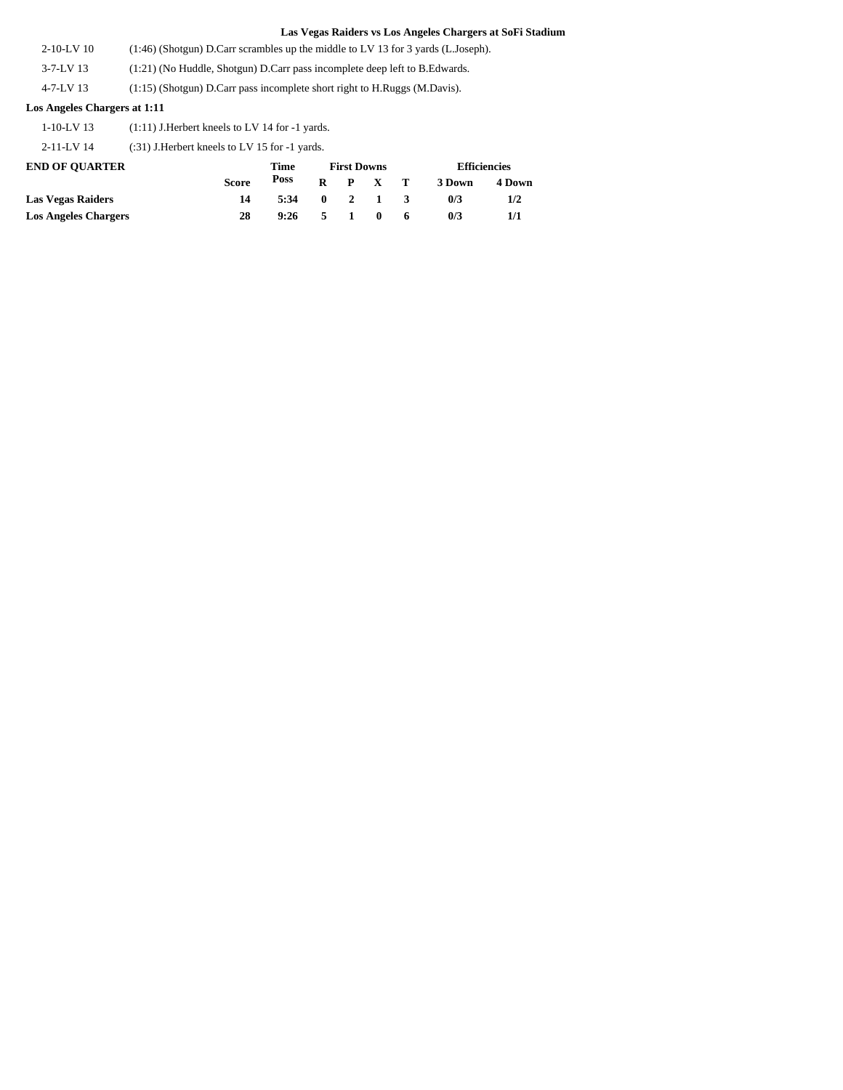- 2-10-LV 10 (1:46) (Shotgun) D.Carr scrambles up the middle to LV 13 for 3 yards (L.Joseph).
- 3-7-LV 13 (1:21) (No Huddle, Shotgun) D.Carr pass incomplete deep left to B.Edwards.
- 4-7-LV 13 (1:15) (Shotgun) D.Carr pass incomplete short right to H.Ruggs (M.Davis).

### **Los Angeles Chargers at 1:11**

1-10-LV 13 (1:11) J.Herbert kneels to LV 14 for -1 yards.

2-11-LV 14 (:31) J.Herbert kneels to LV 15 for -1 yards.

| <b>END OF OUARTER</b>       |              | Time |              |              | <b>First Downs</b> |     | <b>Efficiencies</b> |        |  |
|-----------------------------|--------------|------|--------------|--------------|--------------------|-----|---------------------|--------|--|
|                             | <b>Score</b> | Poss | R            |              | P X T              |     | 3 Down              | 4 Down |  |
| <b>Las Vegas Raiders</b>    | 14           | 5:34 | $\mathbf{0}$ |              | $2 \quad 1$        | - 3 | 0/3                 | 1/2    |  |
| <b>Los Angeles Chargers</b> | 28           | 9:26 | 5.           | $\mathbf{1}$ | $\mathbf{0}$       | 6   | 0/3                 |        |  |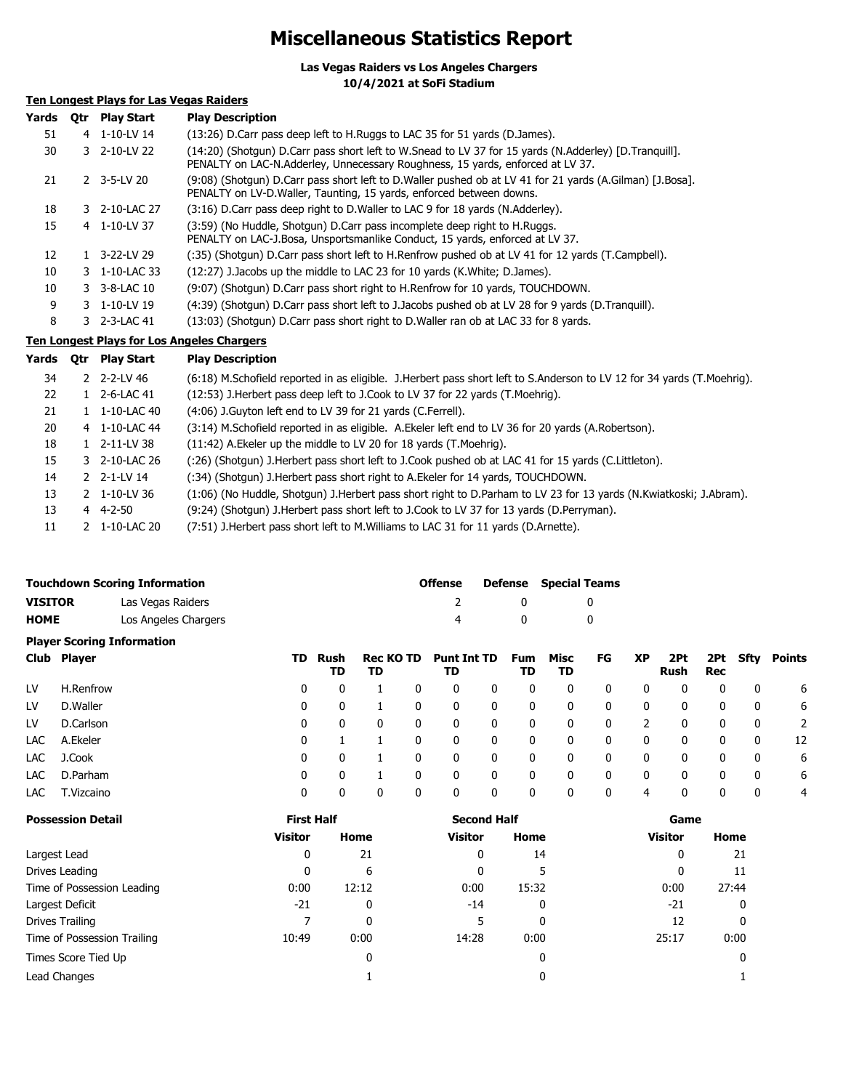### **Miscellaneous Statistics Report**

**Las Vegas Raiders vs Los Angeles Chargers**

**10/4/2021 at SoFi Stadium**

### **Ten Longest Plays for Las Vegas Raiders**

| Yards | 0tr | <b>Play Start</b>        | <b>Play Description</b>                                                                                                                                                                 |
|-------|-----|--------------------------|-----------------------------------------------------------------------------------------------------------------------------------------------------------------------------------------|
| 51    |     | 4 1-10-LV 14             | (13:26) D.Carr pass deep left to H.Ruggs to LAC 35 for 51 yards (D.James).                                                                                                              |
| 30    |     | 3 2-10-LV 22             | (14:20) (Shotgun) D.Carr pass short left to W.Snead to LV 37 for 15 yards (N.Adderley) [D.Tranguill].<br>PENALTY on LAC-N.Adderley, Unnecessary Roughness, 15 yards, enforced at LV 37. |
| 21    |     | $2$ 3-5-LV 20            | (9:08) (Shotqun) D.Carr pass short left to D.Waller pushed ob at LV 41 for 21 yards (A.Gilman) [J.Bosa].<br>PENALTY on LV-D.Waller, Taunting, 15 yards, enforced between downs.         |
| 18    |     | 3 2-10-LAC 27            | (3:16) D.Carr pass deep right to D.Waller to LAC 9 for 18 yards (N.Adderley).                                                                                                           |
| 15    |     | 4 1-10-LV 37             | (3:59) (No Huddle, Shotgun) D.Carr pass incomplete deep right to H.Ruggs.<br>PENALTY on LAC-J.Bosa, Unsportsmanlike Conduct, 15 yards, enforced at LV 37.                               |
| 12    |     | $1 \quad 3 - 22 - LV$ 29 | (:35) (Shotgun) D.Carr pass short left to H.Renfrow pushed ob at LV 41 for 12 yards (T.Campbell).                                                                                       |
| 10    |     | 3 1-10-LAC 33            | (12:27) J. Jacobs up the middle to LAC 23 for 10 yards (K. White; D. James).                                                                                                            |
| 10    |     | $3 - 3 - 8 - LAC$ 10     | (9:07) (Shotgun) D.Carr pass short right to H.Renfrow for 10 yards, TOUCHDOWN.                                                                                                          |
| 9     |     | 3 1-10-LV 19             | (4:39) (Shotgun) D.Carr pass short left to J.Jacobs pushed ob at LV 28 for 9 yards (D.Tranguill).                                                                                       |
| 8     |     | 3 2-3-LAC 41             | (13:03) (Shotgun) D.Carr pass short right to D.Waller ran ob at LAC 33 for 8 yards.                                                                                                     |

### **Ten Longest Plays for Los Angeles Chargers**

| Yards | <b>Otr</b> | <b>Play Start</b> | <b>Play Description</b>                                                                                                |
|-------|------------|-------------------|------------------------------------------------------------------------------------------------------------------------|
| 34    |            | 2 2-2-LV 46       | (6:18) M.Schofield reported in as eligible. J.Herbert pass short left to S.Anderson to LV 12 for 34 yards (T.Moehrig). |
| 22    |            | 2-6-LAC 41        | (12:53) J.Herbert pass deep left to J.Cook to LV 37 for 22 yards (T.Moehrig).                                          |
| 21    |            | 1-10-LAC 40       | (4:06) J. Guyton left end to LV 39 for 21 yards (C. Ferrell).                                                          |
| 20    |            | 4 1-10-LAC 44     | (3:14) M.Schofield reported in as eligible. A.Ekeler left end to LV 36 for 20 yards (A.Robertson).                     |
| 18    | 1.         | 2-11-LV 38        | (11:42) A. Ekeler up the middle to LV 20 for 18 yards (T. Moehrig).                                                    |
| 15    |            | 3 2-10-LAC 26     | (:26) (Shotgun) J.Herbert pass short left to J.Cook pushed ob at LAC 41 for 15 yards (C.Littleton).                    |
| 14    |            | $2$ 2-1-LV 14     | (:34) (Shotgun) J.Herbert pass short right to A.Ekeler for 14 yards, TOUCHDOWN.                                        |
| 13    |            | 2 1-10-LV 36      | (1:06) (No Huddle, Shotgun) J.Herbert pass short right to D.Parham to LV 23 for 13 yards (N.Kwiatkoski; J.Abram).      |
| 13    |            | 4 4-2-50          | (9:24) (Shotgun) J.Herbert pass short left to J.Cook to LV 37 for 13 yards (D.Perryman).                               |
| 11    | 2          | 1-10-LAC 20       | (7:51) J.Herbert pass short left to M.Williams to LAC 31 for 11 yards (D.Arnette).                                     |

|                |                          | <b>Touchdown Scoring Information</b> |    |                   |                        | <b>Offense</b><br><b>Defense</b> |                          |              | <b>Special Teams</b> |            |              |                |                    |            |             |               |
|----------------|--------------------------|--------------------------------------|----|-------------------|------------------------|----------------------------------|--------------------------|--------------|----------------------|------------|--------------|----------------|--------------------|------------|-------------|---------------|
| <b>VISITOR</b> |                          | Las Vegas Raiders                    |    |                   |                        |                                  | 2                        |              | 0                    |            | 0            |                |                    |            |             |               |
| <b>HOME</b>    |                          | Los Angeles Chargers                 |    |                   |                        |                                  | 4                        |              | 0                    | 0          |              |                |                    |            |             |               |
|                |                          | <b>Player Scoring Information</b>    |    |                   |                        |                                  |                          |              |                      |            |              |                |                    |            |             |               |
|                | Club Player              |                                      | TD | Rush<br>TD        | <b>Rec KO TD</b><br>TD |                                  | <b>Punt Int TD</b><br>TD |              | <b>Fum</b><br>TD     | Misc<br>TD | FG           | <b>XP</b>      | 2Pt<br><b>Rush</b> | 2Pt<br>Rec | <b>Sfty</b> | <b>Points</b> |
| LV             | H.Renfrow                |                                      | 0  | 0                 |                        | 0                                | 0                        | 0            | 0                    | 0          | 0            | 0              | 0                  | 0          | 0           | 6             |
| LV             | D.Waller                 |                                      | 0  | 0                 |                        | 0                                | 0                        | 0            | 0                    | 0          | 0            | 0              | 0                  | 0          | 0           | 6             |
| LV             | D.Carlson                |                                      | 0  | 0                 | 0                      | 0                                | 0                        | $\mathbf{0}$ | 0                    | 0          | 0            | $\overline{2}$ | 0                  | 0          | 0           | 2             |
| LAC            | A.Ekeler                 |                                      | 0  | 1                 |                        | 0                                | 0                        | $\mathbf{0}$ | 0                    | 0          | 0            | $\mathbf{0}$   | 0                  | 0          | 0           | 12            |
| LAC.           | J.Cook                   |                                      | 0  | 0                 |                        | 0                                | 0                        | 0            | 0                    | 0          | 0            | 0              | 0                  | 0          | 0           | 6             |
| LAC.           | D.Parham                 |                                      | 0  | 0                 |                        | 0                                | 0                        | $\mathbf{0}$ | 0                    | 0          | 0            | 0              | 0                  | 0          | 0           | 6             |
| LAC            | T.Vizcaino               |                                      | 0  | 0                 | 0                      | 0                                | $\mathbf{0}$             | $\mathbf{0}$ | 0                    | 0          | $\mathbf{0}$ | 4              | 0                  | 0          | 0           | 4             |
|                | <b>Doccaccion Datail</b> |                                      |    | <b>First Half</b> |                        |                                  |                          | Second Half  |                      |            |              |                | Game               |            |             |               |

| <b>Possession Detail</b>    | <b>First Half</b> |       | <b>Second Half</b> |       | Game           |       |  |  |
|-----------------------------|-------------------|-------|--------------------|-------|----------------|-------|--|--|
|                             | <b>Visitor</b>    | Home  | <b>Visitor</b>     | Home  | <b>Visitor</b> | Home  |  |  |
| Largest Lead                | 0                 | 21    | 0                  | 14    | 0              | 21    |  |  |
| Drives Leading              | 0                 | 6     | 0                  |       | 0              | 11    |  |  |
| Time of Possession Leading  | 0:00              | 12:12 | 0:00               | 15:32 | 0:00           | 27:44 |  |  |
| Largest Deficit             | $-21$             | 0     | -14                | 0     | -21            | 0     |  |  |
| Drives Trailing             |                   | 0     |                    | 0     | 12             |       |  |  |
| Time of Possession Trailing | 10:49             | 0:00  | 14:28              | 0:00  | 25:17          | 0:00  |  |  |
| Times Score Tied Up         |                   | 0     |                    | 0     |                |       |  |  |
| Lead Changes                |                   |       |                    | 0     |                |       |  |  |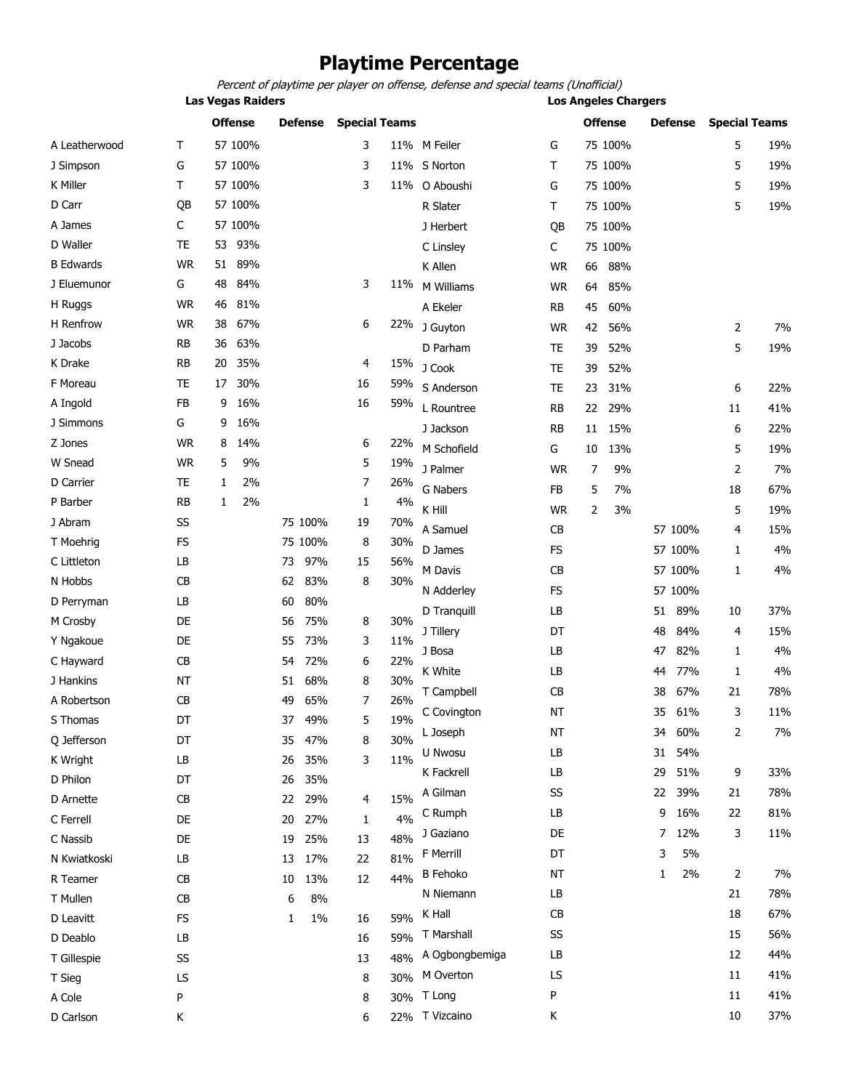### **Playtime Percentage**

Percent of playtime per player on offense, defense and special teams (Unofficial)

**Las Vegas Raiders Los Angeles Chargers**

|                  |           |    | <b>Offense</b> |    | <b>Defense</b> | <b>Special Teams</b> |     |                 |           |    | <b>Offense</b> |    | <b>Defense</b> | <b>Special Teams</b> |     |
|------------------|-----------|----|----------------|----|----------------|----------------------|-----|-----------------|-----------|----|----------------|----|----------------|----------------------|-----|
| A Leatherwood    | т         |    | 57 100%        |    |                | 3                    |     | 11% M Feiler    | G         |    | 75 100%        |    |                | 5                    | 19% |
| J Simpson        | G         |    | 57 100%        |    |                | 3                    |     | 11% S Norton    | т         |    | 75 100%        |    |                | 5                    | 19% |
| K Miller         | Τ         |    | 57 100%        |    |                | 3                    |     | 11% O Aboushi   | G         |    | 75 100%        |    |                | 5                    | 19% |
| D Carr           | QB        |    | 57 100%        |    |                |                      |     | R Slater        | т         |    | 75 100%        |    |                | 5                    | 19% |
| A James          | C         |    | 57 100%        |    |                |                      |     | J Herbert       | QB        |    | 75 100%        |    |                |                      |     |
| D Waller         | <b>TE</b> | 53 | 93%            |    |                |                      |     | C Linsley       | C         |    | 75 100%        |    |                |                      |     |
| <b>B</b> Edwards | <b>WR</b> | 51 | 89%            |    |                |                      |     | K Allen         | <b>WR</b> | 66 | 88%            |    |                |                      |     |
| J Eluemunor      | G         | 48 | 84%            |    |                | 3                    | 11% | M Williams      | <b>WR</b> | 64 | 85%            |    |                |                      |     |
| H Ruggs          | <b>WR</b> | 46 | 81%            |    |                |                      |     | A Ekeler        | RB        | 45 | 60%            |    |                |                      |     |
| H Renfrow        | <b>WR</b> | 38 | 67%            |    |                | 6                    | 22% | J Guyton        | <b>WR</b> | 42 | 56%            |    |                | 2                    | 7%  |
| J Jacobs         | <b>RB</b> | 36 | 63%            |    |                |                      |     | D Parham        | TE        | 39 | 52%            |    |                | 5                    | 19% |
| K Drake          | <b>RB</b> | 20 | 35%            |    |                | 4                    | 15% | J Cook          | <b>TE</b> | 39 | 52%            |    |                |                      |     |
| F Moreau         | TE        | 17 | 30%            |    |                | 16                   | 59% | S Anderson      | <b>TE</b> | 23 | 31%            |    |                | 6                    | 22% |
| A Ingold         | <b>FB</b> | 9  | 16%            |    |                | 16                   | 59% | L Rountree      | RB        | 22 | 29%            |    |                | 11                   | 41% |
| J Simmons        | G         | 9  | 16%            |    |                |                      |     | J Jackson       | RB        | 11 | 15%            |    |                | 6                    | 22% |
| Z Jones          | <b>WR</b> | 8  | 14%            |    |                | 6                    | 22% | M Schofield     | G         | 10 | 13%            |    |                | 5                    | 19% |
| W Snead          | <b>WR</b> | 5  | 9%             |    |                | 5                    | 19% | J Palmer        | <b>WR</b> | 7  | 9%             |    |                | 2                    | 7%  |
| D Carrier        | TE        | 1  | 2%             |    |                | 7                    | 26% | <b>G Nabers</b> | <b>FB</b> | 5  | 7%             |    |                | 18                   | 67% |
| P Barber         | <b>RB</b> | 1  | 2%             |    |                | 1                    | 4%  | K Hill          | <b>WR</b> | 2  | 3%             |    |                | 5                    | 19% |
| J Abram          | SS        |    |                |    | 75 100%        | 19                   | 70% | A Samuel        | CB        |    |                |    | 57 100%        | 4                    | 15% |
| T Moehrig        | <b>FS</b> |    |                |    | 75 100%        | 8                    | 30% | D James         | <b>FS</b> |    |                |    | 57 100%        | 1                    | 4%  |
| C Littleton      | LB        |    |                | 73 | 97%            | 15                   | 56% | M Davis         | CB        |    |                |    | 57 100%        | 1                    | 4%  |
| N Hobbs          | CB        |    |                | 62 | 83%            | 8                    | 30% | N Adderley      | <b>FS</b> |    |                |    | 57 100%        |                      |     |
| D Perryman       | LB        |    |                | 60 | 80%            |                      |     |                 |           |    |                |    | 89%            |                      | 37% |
| M Crosby         | DE        |    |                | 56 | 75%            | 8                    | 30% | D Tranquill     | LB        |    |                | 51 |                | 10                   |     |
| Y Ngakoue        | DE        |    |                | 55 | 73%            | 3                    | 11% | J Tillery       | DT        |    |                | 48 | 84%            | 4                    | 15% |
| C Hayward        | CB        |    |                | 54 | 72%            | 6                    | 22% | J Bosa          | LB        |    |                | 47 | 82%            | 1                    | 4%  |
| J Hankins        | <b>NT</b> |    |                | 51 | 68%            | 8                    | 30% | K White         | LB        |    |                | 44 | 77%            | 1                    | 4%  |
| A Robertson      | CB        |    |                | 49 | 65%            | 7                    | 26% | T Campbell      | CB        |    |                | 38 | 67%            | 21                   | 78% |
| S Thomas         | DT        |    |                | 37 | 49%            | 5                    | 19% | C Covington     | <b>NT</b> |    |                | 35 | 61%            | 3                    | 11% |
| Q Jefferson      | DT        |    |                | 35 | 47%            | 8                    | 30% | L Joseph        | ΝT        |    |                | 34 | 60%            | 2                    | 7%  |
| K Wright         | LB        |    |                | 26 | 35%            | 3                    | 11% | U Nwosu         | LB        |    |                | 31 | 54%            |                      |     |
| D Philon         | DT        |    |                | 26 | 35%            |                      |     | K Fackrell      | LB        |    |                | 29 | 51%            | 9                    | 33% |
| D Arnette        | CB        |    |                | 22 | 29%            | 4                    | 15% | A Gilman        | SS        |    |                | 22 | 39%            | 21                   | 78% |
| C Ferrell        | DE        |    |                | 20 | 27%            | 1                    | 4%  | C Rumph         | LB        |    |                | 9  | 16%            | 22                   | 81% |
| C Nassib         | DE        |    |                | 19 | 25%            | 13                   | 48% | J Gaziano       | DE        |    |                | 7  | 12%            | 3                    | 11% |
| N Kwiatkoski     | LB        |    |                | 13 | 17%            | 22                   | 81% | F Merrill       | DT        |    |                | 3  | 5%             |                      |     |
| R Teamer         | CB        |    |                | 10 | 13%            | 12                   | 44% | <b>B</b> Fehoko | NT        |    |                | 1  | 2%             | 2                    | 7%  |
| T Mullen         | CB        |    |                | 6  | 8%             |                      |     | N Niemann       | LB        |    |                |    |                | 21                   | 78% |
| D Leavitt        | FS        |    |                | 1  | $1\%$          | 16                   | 59% | K Hall          | CB        |    |                |    |                | 18                   | 67% |
| D Deablo         | LB        |    |                |    |                | 16                   | 59% | T Marshall      | SS        |    |                |    |                | 15                   | 56% |
| T Gillespie      | SS        |    |                |    |                | 13                   | 48% | A Ogbongbemiga  | LB        |    |                |    |                | 12                   | 44% |
| T Sieg           | LS        |    |                |    |                | 8                    | 30% | M Overton       | LS        |    |                |    |                | 11                   | 41% |
| A Cole           | P         |    |                |    |                | 8                    |     | 30% T Long      | P         |    |                |    |                | 11                   | 41% |
| D Carlson        | Κ         |    |                |    |                | 6                    |     | 22% T Vizcaino  | К         |    |                |    |                | 10                   | 37% |